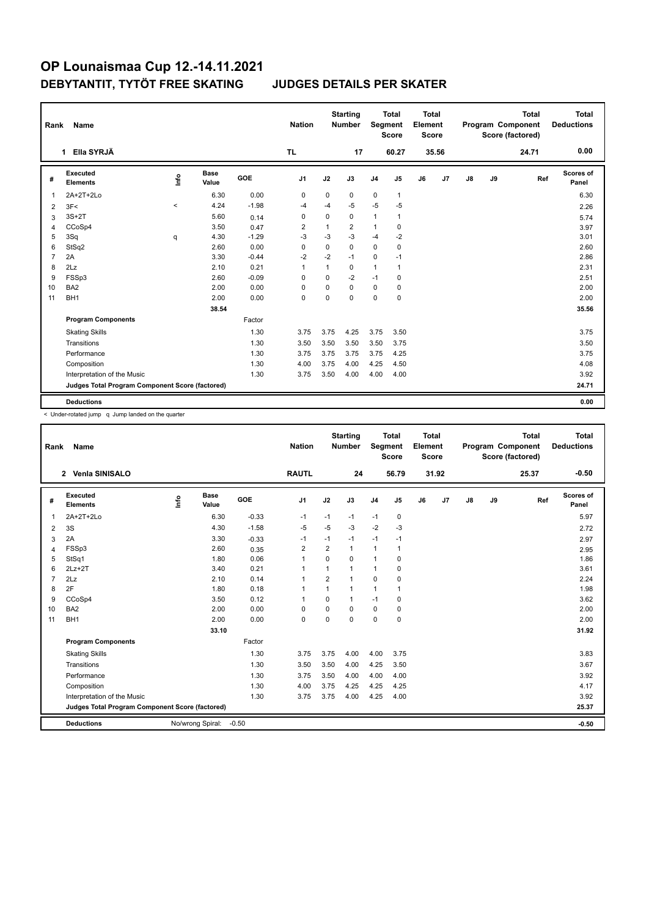| Rank | Name                                            |          |                      |            | <b>Nation</b>  |              | <b>Starting</b><br><b>Number</b> |                | <b>Total</b><br>Segment<br><b>Score</b> | <b>Total</b><br>Element<br>Score |       |    |    | <b>Total</b><br>Program Component<br>Score (factored) | <b>Total</b><br><b>Deductions</b> |
|------|-------------------------------------------------|----------|----------------------|------------|----------------|--------------|----------------------------------|----------------|-----------------------------------------|----------------------------------|-------|----|----|-------------------------------------------------------|-----------------------------------|
|      | Ella SYRJÄ<br>1                                 |          |                      |            | <b>TL</b>      |              | 17                               |                | 60.27                                   |                                  | 35.56 |    |    | 24.71                                                 | 0.00                              |
| #    | <b>Executed</b><br><b>Elements</b>              | lnfo     | <b>Base</b><br>Value | <b>GOE</b> | J <sub>1</sub> | J2           | J3                               | J <sub>4</sub> | J <sub>5</sub>                          | J6                               | J7    | J8 | J9 | Ref                                                   | Scores of<br>Panel                |
| 1    | 2A+2T+2Lo                                       |          | 6.30                 | 0.00       | 0              | 0            | 0                                | 0              | $\mathbf{1}$                            |                                  |       |    |    |                                                       | 6.30                              |
| 2    | 3F<                                             | $\hat{}$ | 4.24                 | $-1.98$    | $-4$           | $-4$         | $-5$                             | $-5$           | $-5$                                    |                                  |       |    |    |                                                       | 2.26                              |
| 3    | $3S+2T$                                         |          | 5.60                 | 0.14       | 0              | 0            | 0                                | 1              | $\mathbf{1}$                            |                                  |       |    |    |                                                       | 5.74                              |
| 4    | CCoSp4                                          |          | 3.50                 | 0.47       | $\overline{2}$ | 1            | $\overline{2}$                   | 1              | 0                                       |                                  |       |    |    |                                                       | 3.97                              |
| 5    | 3Sq                                             | q        | 4.30                 | $-1.29$    | $-3$           | $-3$         | $-3$                             | $-4$           | $-2$                                    |                                  |       |    |    |                                                       | 3.01                              |
| 6    | StSq2                                           |          | 2.60                 | 0.00       | 0              | $\mathbf 0$  | 0                                | $\mathbf 0$    | 0                                       |                                  |       |    |    |                                                       | 2.60                              |
| 7    | 2A                                              |          | 3.30                 | $-0.44$    | $-2$           | $-2$         | -1                               | 0              | $-1$                                    |                                  |       |    |    |                                                       | 2.86                              |
| 8    | 2Lz                                             |          | 2.10                 | 0.21       | $\mathbf 1$    | $\mathbf{1}$ | 0                                | 1              | $\mathbf{1}$                            |                                  |       |    |    |                                                       | 2.31                              |
| 9    | FSSp3                                           |          | 2.60                 | $-0.09$    | 0              | $\mathbf 0$  | $-2$                             | $-1$           | $\mathbf 0$                             |                                  |       |    |    |                                                       | 2.51                              |
| 10   | BA <sub>2</sub>                                 |          | 2.00                 | 0.00       | 0              | 0            | $\Omega$                         | 0              | 0                                       |                                  |       |    |    |                                                       | 2.00                              |
| 11   | BH <sub>1</sub>                                 |          | 2.00                 | 0.00       | 0              | $\mathbf 0$  | 0                                | 0              | $\mathbf 0$                             |                                  |       |    |    |                                                       | 2.00                              |
|      |                                                 |          | 38.54                |            |                |              |                                  |                |                                         |                                  |       |    |    |                                                       | 35.56                             |
|      | <b>Program Components</b>                       |          |                      | Factor     |                |              |                                  |                |                                         |                                  |       |    |    |                                                       |                                   |
|      | <b>Skating Skills</b>                           |          |                      | 1.30       | 3.75           | 3.75         | 4.25                             | 3.75           | 3.50                                    |                                  |       |    |    |                                                       | 3.75                              |
|      | Transitions                                     |          |                      | 1.30       | 3.50           | 3.50         | 3.50                             | 3.50           | 3.75                                    |                                  |       |    |    |                                                       | 3.50                              |
|      | Performance                                     |          |                      | 1.30       | 3.75           | 3.75         | 3.75                             | 3.75           | 4.25                                    |                                  |       |    |    |                                                       | 3.75                              |
|      | Composition                                     |          |                      | 1.30       | 4.00           | 3.75         | 4.00                             | 4.25           | 4.50                                    |                                  |       |    |    |                                                       | 4.08                              |
|      | Interpretation of the Music                     |          |                      | 1.30       | 3.75           | 3.50         | 4.00                             | 4.00           | 4.00                                    |                                  |       |    |    |                                                       | 3.92                              |
|      | Judges Total Program Component Score (factored) |          |                      |            |                |              |                                  |                |                                         |                                  |       |    |    |                                                       | 24.71                             |
|      | <b>Deductions</b>                               |          |                      |            |                |              |                                  |                |                                         |                                  |       |    |    |                                                       | 0.00                              |

< Under-rotated jump q Jump landed on the quarter

| Rank           | Name                                            |      |                      |         | <b>Nation</b>  |                | <b>Starting</b><br><b>Number</b> | Segment        | <b>Total</b><br><b>Score</b> | Total<br>Element<br><b>Score</b> |                |               |    | <b>Total</b><br>Program Component<br>Score (factored) | <b>Total</b><br><b>Deductions</b> |
|----------------|-------------------------------------------------|------|----------------------|---------|----------------|----------------|----------------------------------|----------------|------------------------------|----------------------------------|----------------|---------------|----|-------------------------------------------------------|-----------------------------------|
|                | <b>Venia SINISALO</b><br>$\mathbf{2}$           |      |                      |         | <b>RAUTL</b>   |                | 24                               |                | 56.79                        |                                  | 31.92          |               |    | 25.37                                                 | $-0.50$                           |
| #              | Executed<br><b>Elements</b>                     | lnfo | <b>Base</b><br>Value | GOE     | J <sub>1</sub> | J2             | J3                               | J <sub>4</sub> | J <sub>5</sub>               | J6                               | J <sub>7</sub> | $\mathsf{J}8$ | J9 | Ref                                                   | Scores of<br>Panel                |
| 1              | 2A+2T+2Lo                                       |      | 6.30                 | $-0.33$ | $-1$           | $-1$           | $-1$                             | $-1$           | 0                            |                                  |                |               |    |                                                       | 5.97                              |
| 2              | 3S                                              |      | 4.30                 | $-1.58$ | $-5$           | $-5$           | $-3$                             | $-2$           | $-3$                         |                                  |                |               |    |                                                       | 2.72                              |
| 3              | 2A                                              |      | 3.30                 | $-0.33$ | $-1$           | $-1$           | $-1$                             | $-1$           | $-1$                         |                                  |                |               |    |                                                       | 2.97                              |
| 4              | FSSp3                                           |      | 2.60                 | 0.35    | $\overline{2}$ | $\overline{2}$ | $\mathbf{1}$                     | $\mathbf{1}$   | 1                            |                                  |                |               |    |                                                       | 2.95                              |
| 5              | StSq1                                           |      | 1.80                 | 0.06    | $\mathbf{1}$   | $\Omega$       | $\Omega$                         | $\mathbf{1}$   | 0                            |                                  |                |               |    |                                                       | 1.86                              |
| 6              | $2Lz+2T$                                        |      | 3.40                 | 0.21    | 1              | 1              | 1                                | 1              | 0                            |                                  |                |               |    |                                                       | 3.61                              |
| $\overline{7}$ | 2Lz                                             |      | 2.10                 | 0.14    | $\mathbf{1}$   | $\overline{2}$ | 1                                | $\Omega$       | $\Omega$                     |                                  |                |               |    |                                                       | 2.24                              |
| 8              | 2F                                              |      | 1.80                 | 0.18    | $\mathbf{1}$   | 1              | $\mathbf{1}$                     | $\mathbf{1}$   | 1                            |                                  |                |               |    |                                                       | 1.98                              |
| 9              | CCoSp4                                          |      | 3.50                 | 0.12    | $\mathbf{1}$   | $\Omega$       | 1                                | $-1$           | 0                            |                                  |                |               |    |                                                       | 3.62                              |
| 10             | BA <sub>2</sub>                                 |      | 2.00                 | 0.00    | 0              | 0              | 0                                | $\mathbf 0$    | 0                            |                                  |                |               |    |                                                       | 2.00                              |
| 11             | BH <sub>1</sub>                                 |      | 2.00                 | 0.00    | $\mathbf 0$    | $\Omega$       | $\Omega$                         | $\mathbf 0$    | 0                            |                                  |                |               |    |                                                       | 2.00                              |
|                |                                                 |      | 33.10                |         |                |                |                                  |                |                              |                                  |                |               |    |                                                       | 31.92                             |
|                | <b>Program Components</b>                       |      |                      | Factor  |                |                |                                  |                |                              |                                  |                |               |    |                                                       |                                   |
|                | <b>Skating Skills</b>                           |      |                      | 1.30    | 3.75           | 3.75           | 4.00                             | 4.00           | 3.75                         |                                  |                |               |    |                                                       | 3.83                              |
|                | Transitions                                     |      |                      | 1.30    | 3.50           | 3.50           | 4.00                             | 4.25           | 3.50                         |                                  |                |               |    |                                                       | 3.67                              |
|                | Performance                                     |      |                      | 1.30    | 3.75           | 3.50           | 4.00                             | 4.00           | 4.00                         |                                  |                |               |    |                                                       | 3.92                              |
|                | Composition                                     |      |                      | 1.30    | 4.00           | 3.75           | 4.25                             | 4.25           | 4.25                         |                                  |                |               |    |                                                       | 4.17                              |
|                | Interpretation of the Music                     |      |                      | 1.30    | 3.75           | 3.75           | 4.00                             | 4.25           | 4.00                         |                                  |                |               |    |                                                       | 3.92                              |
|                | Judges Total Program Component Score (factored) |      |                      |         |                |                |                                  |                |                              |                                  |                |               |    |                                                       | 25.37                             |
|                | <b>Deductions</b>                               |      | No/wrong Spiral:     | $-0.50$ |                |                |                                  |                |                              |                                  |                |               |    |                                                       | $-0.50$                           |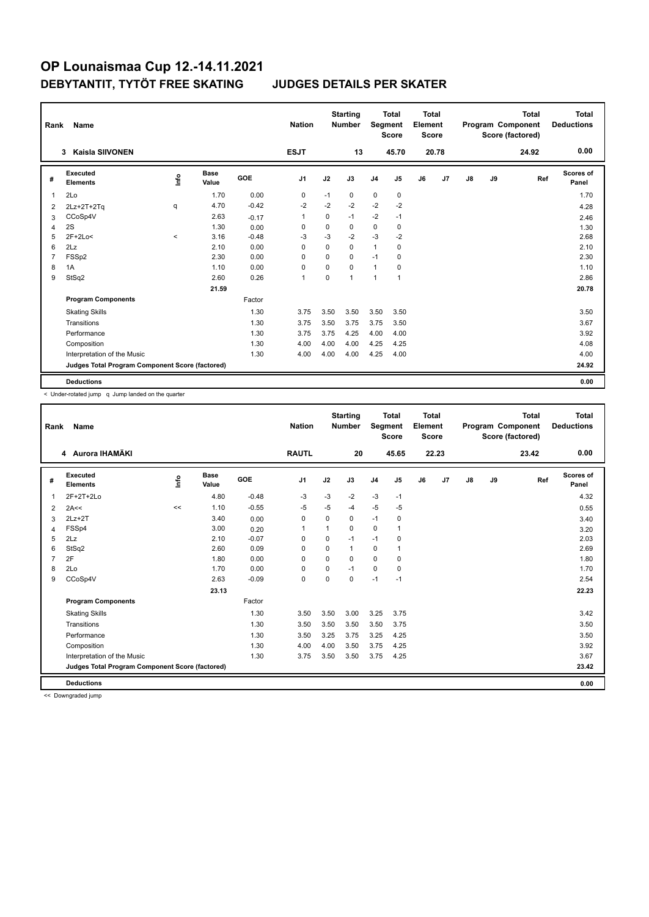| Rank           | Name                                            |         |                      |         | <b>Nation</b>  |             | <b>Starting</b><br><b>Number</b> | Segment        | <b>Total</b><br><b>Score</b> | <b>Total</b><br>Element<br><b>Score</b> |       |    |    | <b>Total</b><br>Program Component<br>Score (factored) | <b>Total</b><br><b>Deductions</b> |
|----------------|-------------------------------------------------|---------|----------------------|---------|----------------|-------------|----------------------------------|----------------|------------------------------|-----------------------------------------|-------|----|----|-------------------------------------------------------|-----------------------------------|
|                | <b>Kaisla SIIVONEN</b><br>3                     |         |                      |         | <b>ESJT</b>    |             | 13                               |                | 45.70                        |                                         | 20.78 |    |    | 24.92                                                 | 0.00                              |
| #              | <b>Executed</b><br><b>Elements</b>              | ۴ů      | <b>Base</b><br>Value | GOE     | J <sub>1</sub> | J2          | J3                               | J <sub>4</sub> | J <sub>5</sub>               | J6                                      | J7    | J8 | J9 | Ref                                                   | Scores of<br>Panel                |
| 1              | 2Lo                                             |         | 1.70                 | 0.00    | 0              | $-1$        | 0                                | 0              | 0                            |                                         |       |    |    |                                                       | 1.70                              |
| 2              | 2Lz+2T+2Tq                                      | q       | 4.70                 | $-0.42$ | $-2$           | $-2$        | $-2$                             | $-2$           | $-2$                         |                                         |       |    |    |                                                       | 4.28                              |
| 3              | CCoSp4V                                         |         | 2.63                 | $-0.17$ | $\mathbf 1$    | 0           | $-1$                             | $-2$           | $-1$                         |                                         |       |    |    |                                                       | 2.46                              |
| $\overline{4}$ | 2S                                              |         | 1.30                 | 0.00    | 0              | $\mathbf 0$ | 0                                | 0              | $\pmb{0}$                    |                                         |       |    |    |                                                       | 1.30                              |
| 5              | $2F+2Lo<$                                       | $\prec$ | 3.16                 | $-0.48$ | $-3$           | $-3$        | $-2$                             | $-3$           | $-2$                         |                                         |       |    |    |                                                       | 2.68                              |
| 6              | 2Lz                                             |         | 2.10                 | 0.00    | $\mathbf 0$    | $\mathbf 0$ | $\mathbf 0$                      | $\mathbf{1}$   | $\mathbf 0$                  |                                         |       |    |    |                                                       | 2.10                              |
| $\overline{7}$ | FSS <sub>p2</sub>                               |         | 2.30                 | 0.00    | 0              | $\mathbf 0$ | $\mathbf 0$                      | $-1$           | 0                            |                                         |       |    |    |                                                       | 2.30                              |
| 8              | 1A                                              |         | 1.10                 | 0.00    | $\Omega$       | $\Omega$    | $\Omega$                         | $\mathbf{1}$   | 0                            |                                         |       |    |    |                                                       | 1.10                              |
| 9              | StSq2                                           |         | 2.60                 | 0.26    | 1              | $\mathbf 0$ | 1                                | 1              | $\mathbf{1}$                 |                                         |       |    |    |                                                       | 2.86                              |
|                |                                                 |         | 21.59                |         |                |             |                                  |                |                              |                                         |       |    |    |                                                       | 20.78                             |
|                | <b>Program Components</b>                       |         |                      | Factor  |                |             |                                  |                |                              |                                         |       |    |    |                                                       |                                   |
|                | <b>Skating Skills</b>                           |         |                      | 1.30    | 3.75           | 3.50        | 3.50                             | 3.50           | 3.50                         |                                         |       |    |    |                                                       | 3.50                              |
|                | Transitions                                     |         |                      | 1.30    | 3.75           | 3.50        | 3.75                             | 3.75           | 3.50                         |                                         |       |    |    |                                                       | 3.67                              |
|                | Performance                                     |         |                      | 1.30    | 3.75           | 3.75        | 4.25                             | 4.00           | 4.00                         |                                         |       |    |    |                                                       | 3.92                              |
|                | Composition                                     |         |                      | 1.30    | 4.00           | 4.00        | 4.00                             | 4.25           | 4.25                         |                                         |       |    |    |                                                       | 4.08                              |
|                | Interpretation of the Music                     |         |                      | 1.30    | 4.00           | 4.00        | 4.00                             | 4.25           | 4.00                         |                                         |       |    |    |                                                       | 4.00                              |
|                | Judges Total Program Component Score (factored) |         |                      |         |                |             |                                  |                |                              |                                         |       |    |    |                                                       | 24.92                             |
|                | <b>Deductions</b>                               |         |                      |         |                |             |                                  |                |                              |                                         |       |    |    |                                                       | 0.00                              |

< Under-rotated jump q Jump landed on the quarter

| Rank           | <b>Name</b>                                     |      |                      |         | <b>Nation</b> |             | <b>Starting</b><br><b>Number</b> | Segment        | <b>Total</b><br><b>Score</b> | Total<br>Element<br><b>Score</b> |       |               |    | <b>Total</b><br>Program Component<br>Score (factored) | Total<br><b>Deductions</b> |
|----------------|-------------------------------------------------|------|----------------------|---------|---------------|-------------|----------------------------------|----------------|------------------------------|----------------------------------|-------|---------------|----|-------------------------------------------------------|----------------------------|
|                | 4 Aurora IHAMÄKI                                |      |                      |         | <b>RAUTL</b>  |             | 20                               |                | 45.65                        |                                  | 22.23 |               |    | 23.42                                                 | 0.00                       |
| #              | Executed<br><b>Elements</b>                     | Info | <b>Base</b><br>Value | GOE     | J1            | J2          | J3                               | J <sub>4</sub> | J5                           | J6                               | J7    | $\mathsf{J}8$ | J9 | Ref                                                   | <b>Scores of</b><br>Panel  |
| $\overline{1}$ | 2F+2T+2Lo                                       |      | 4.80                 | $-0.48$ | $-3$          | $-3$        | $-2$                             | $-3$           | $-1$                         |                                  |       |               |    |                                                       | 4.32                       |
| 2              | 2A<<                                            | <<   | 1.10                 | $-0.55$ | $-5$          | $-5$        | $-4$                             | $-5$           | $-5$                         |                                  |       |               |    |                                                       | 0.55                       |
| 3              | $2Lz+2T$                                        |      | 3.40                 | 0.00    | 0             | 0           | 0                                | $-1$           | 0                            |                                  |       |               |    |                                                       | 3.40                       |
| 4              | FSSp4                                           |      | 3.00                 | 0.20    | 1             |             | 0                                | $\mathbf 0$    | 1                            |                                  |       |               |    |                                                       | 3.20                       |
| 5              | 2Lz                                             |      | 2.10                 | $-0.07$ | 0             | $\mathbf 0$ | $-1$                             | $-1$           | 0                            |                                  |       |               |    |                                                       | 2.03                       |
| 6              | StSq2                                           |      | 2.60                 | 0.09    | $\Omega$      | $\Omega$    | 1                                | 0              | 1                            |                                  |       |               |    |                                                       | 2.69                       |
| $\overline{7}$ | 2F                                              |      | 1.80                 | 0.00    | 0             | $\Omega$    | 0                                | $\mathbf 0$    | 0                            |                                  |       |               |    |                                                       | 1.80                       |
| 8              | 2Lo                                             |      | 1.70                 | 0.00    | 0             | $\Omega$    | $-1$                             | $\mathbf 0$    | 0                            |                                  |       |               |    |                                                       | 1.70                       |
| 9              | CCoSp4V                                         |      | 2.63                 | $-0.09$ | 0             | $\Omega$    | 0                                | $-1$           | $-1$                         |                                  |       |               |    |                                                       | 2.54                       |
|                |                                                 |      | 23.13                |         |               |             |                                  |                |                              |                                  |       |               |    |                                                       | 22.23                      |
|                | <b>Program Components</b>                       |      |                      | Factor  |               |             |                                  |                |                              |                                  |       |               |    |                                                       |                            |
|                | <b>Skating Skills</b>                           |      |                      | 1.30    | 3.50          | 3.50        | 3.00                             | 3.25           | 3.75                         |                                  |       |               |    |                                                       | 3.42                       |
|                | Transitions                                     |      |                      | 1.30    | 3.50          | 3.50        | 3.50                             | 3.50           | 3.75                         |                                  |       |               |    |                                                       | 3.50                       |
|                | Performance                                     |      |                      | 1.30    | 3.50          | 3.25        | 3.75                             | 3.25           | 4.25                         |                                  |       |               |    |                                                       | 3.50                       |
|                | Composition                                     |      |                      | 1.30    | 4.00          | 4.00        | 3.50                             | 3.75           | 4.25                         |                                  |       |               |    |                                                       | 3.92                       |
|                | Interpretation of the Music                     |      |                      | 1.30    | 3.75          | 3.50        | 3.50                             | 3.75           | 4.25                         |                                  |       |               |    |                                                       | 3.67                       |
|                | Judges Total Program Component Score (factored) |      |                      |         |               |             |                                  |                |                              |                                  |       |               |    |                                                       | 23.42                      |
|                | <b>Deductions</b>                               |      |                      |         |               |             |                                  |                |                              |                                  |       |               |    |                                                       | 0.00                       |
|                |                                                 |      |                      |         |               |             |                                  |                |                              |                                  |       |               |    |                                                       |                            |

<< Downgraded jump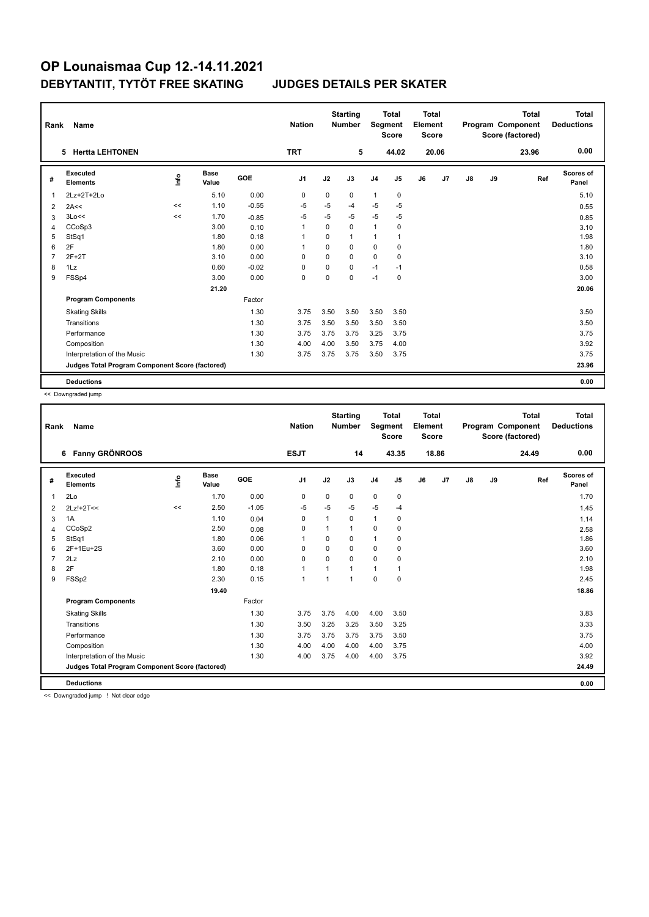| Rank           | <b>Name</b>                                     |                                  |                      |         | <b>Nation</b> |          | <b>Starting</b><br><b>Number</b> | Segment        | Total<br><b>Score</b> | Total<br>Element<br>Score |                |    |    | <b>Total</b><br>Program Component<br>Score (factored) | Total<br><b>Deductions</b> |
|----------------|-------------------------------------------------|----------------------------------|----------------------|---------|---------------|----------|----------------------------------|----------------|-----------------------|---------------------------|----------------|----|----|-------------------------------------------------------|----------------------------|
|                | <b>Hertta LEHTONEN</b><br>5                     |                                  |                      |         | <b>TRT</b>    |          | 5                                |                | 44.02                 |                           | 20.06          |    |    | 23.96                                                 | 0.00                       |
| #              | Executed<br><b>Elements</b>                     | $\mathop{\mathsf{Irr}}\nolimits$ | <b>Base</b><br>Value | GOE     | J1            | J2       | J3                               | J <sub>4</sub> | J5                    | J6                        | J <sub>7</sub> | J8 | J9 | Ref                                                   | <b>Scores of</b><br>Panel  |
| $\overline{1}$ | 2Lz+2T+2Lo                                      |                                  | 5.10                 | 0.00    | 0             | 0        | 0                                | $\mathbf{1}$   | 0                     |                           |                |    |    |                                                       | 5.10                       |
| 2              | 2A<<                                            | <<                               | 1.10                 | $-0.55$ | $-5$          | $-5$     | $-4$                             | $-5$           | $-5$                  |                           |                |    |    |                                                       | 0.55                       |
| 3              | 3Lo<<                                           | <<                               | 1.70                 | $-0.85$ | -5            | $-5$     | $-5$                             | $-5$           | $-5$                  |                           |                |    |    |                                                       | 0.85                       |
| 4              | CCoSp3                                          |                                  | 3.00                 | 0.10    | $\mathbf 1$   | 0        | 0                                | $\mathbf{1}$   | 0                     |                           |                |    |    |                                                       | 3.10                       |
| 5              | StSq1                                           |                                  | 1.80                 | 0.18    | -1            | $\Omega$ | 1                                | $\mathbf{1}$   | 1                     |                           |                |    |    |                                                       | 1.98                       |
| 6              | 2F                                              |                                  | 1.80                 | 0.00    | $\mathbf 1$   | 0        | 0                                | $\mathbf 0$    | $\mathbf 0$           |                           |                |    |    |                                                       | 1.80                       |
| $\overline{7}$ | $2F+2T$                                         |                                  | 3.10                 | 0.00    | $\Omega$      | 0        | $\Omega$                         | $\mathbf 0$    | 0                     |                           |                |    |    |                                                       | 3.10                       |
| 8              | $1\mathsf{L}z$                                  |                                  | 0.60                 | $-0.02$ | 0             | 0        | 0                                | $-1$           | $-1$                  |                           |                |    |    |                                                       | 0.58                       |
| 9              | FSSp4                                           |                                  | 3.00                 | 0.00    | $\mathbf 0$   | $\Omega$ | 0                                | $-1$           | 0                     |                           |                |    |    |                                                       | 3.00                       |
|                |                                                 |                                  | 21.20                |         |               |          |                                  |                |                       |                           |                |    |    |                                                       | 20.06                      |
|                | <b>Program Components</b>                       |                                  |                      | Factor  |               |          |                                  |                |                       |                           |                |    |    |                                                       |                            |
|                | <b>Skating Skills</b>                           |                                  |                      | 1.30    | 3.75          | 3.50     | 3.50                             | 3.50           | 3.50                  |                           |                |    |    |                                                       | 3.50                       |
|                | Transitions                                     |                                  |                      | 1.30    | 3.75          | 3.50     | 3.50                             | 3.50           | 3.50                  |                           |                |    |    |                                                       | 3.50                       |
|                | Performance                                     |                                  |                      | 1.30    | 3.75          | 3.75     | 3.75                             | 3.25           | 3.75                  |                           |                |    |    |                                                       | 3.75                       |
|                | Composition                                     |                                  |                      | 1.30    | 4.00          | 4.00     | 3.50                             | 3.75           | 4.00                  |                           |                |    |    |                                                       | 3.92                       |
|                | Interpretation of the Music                     |                                  |                      | 1.30    | 3.75          | 3.75     | 3.75                             | 3.50           | 3.75                  |                           |                |    |    |                                                       | 3.75                       |
|                | Judges Total Program Component Score (factored) |                                  |                      |         |               |          |                                  |                |                       |                           |                |    |    |                                                       | 23.96                      |
|                | <b>Deductions</b>                               |                                  |                      |         |               |          |                                  |                |                       |                           |                |    |    |                                                       | 0.00                       |

<< Downgraded jump

| Rank           | Name                                            |      |                      |         | <b>Nation</b>  |                | <b>Starting</b><br><b>Number</b> | Segment        | <b>Total</b><br><b>Score</b> | <b>Total</b><br>Element<br><b>Score</b> |       |               |    | <b>Total</b><br>Program Component<br>Score (factored) | <b>Total</b><br><b>Deductions</b> |
|----------------|-------------------------------------------------|------|----------------------|---------|----------------|----------------|----------------------------------|----------------|------------------------------|-----------------------------------------|-------|---------------|----|-------------------------------------------------------|-----------------------------------|
|                | 6 Fanny GRÖNROOS                                |      |                      |         | <b>ESJT</b>    |                | 14                               |                | 43.35                        |                                         | 18.86 |               |    | 24.49                                                 | 0.00                              |
| #              | Executed<br><b>Elements</b>                     | Life | <b>Base</b><br>Value | GOE     | J <sub>1</sub> | J2             | J3                               | J <sub>4</sub> | J5                           | J6                                      | J7    | $\mathsf{J}8$ | J9 | Ref                                                   | <b>Scores of</b><br>Panel         |
| 1              | 2Lo                                             |      | 1.70                 | 0.00    | 0              | 0              | 0                                | $\pmb{0}$      | 0                            |                                         |       |               |    |                                                       | 1.70                              |
| 2              | $2Lz!+2T<<$                                     | <<   | 2.50                 | $-1.05$ | $-5$           | $-5$           | $-5$                             | $-5$           | $-4$                         |                                         |       |               |    |                                                       | 1.45                              |
| 3              | 1A                                              |      | 1.10                 | 0.04    | 0              | 1              | 0                                | $\mathbf{1}$   | 0                            |                                         |       |               |    |                                                       | 1.14                              |
| $\overline{4}$ | CCoSp2                                          |      | 2.50                 | 0.08    | 0              | 1              | 1                                | $\mathbf 0$    | 0                            |                                         |       |               |    |                                                       | 2.58                              |
| 5              | StSq1                                           |      | 1.80                 | 0.06    | 1              | 0              | 0                                | $\mathbf{1}$   | 0                            |                                         |       |               |    |                                                       | 1.86                              |
| 6              | 2F+1Eu+2S                                       |      | 3.60                 | 0.00    | 0              | $\mathbf 0$    | 0                                | $\mathbf 0$    | 0                            |                                         |       |               |    |                                                       | 3.60                              |
| $\overline{7}$ | 2Lz                                             |      | 2.10                 | 0.00    | $\mathbf 0$    | $\Omega$       | 0                                | $\mathbf 0$    | 0                            |                                         |       |               |    |                                                       | 2.10                              |
| 8              | 2F                                              |      | 1.80                 | 0.18    | $\mathbf{1}$   | 1              | 1                                | $\mathbf{1}$   | 1                            |                                         |       |               |    |                                                       | 1.98                              |
| 9              | FSSp2                                           |      | 2.30                 | 0.15    | $\mathbf{1}$   | $\overline{1}$ | 1                                | $\mathbf 0$    | $\Omega$                     |                                         |       |               |    |                                                       | 2.45                              |
|                |                                                 |      | 19.40                |         |                |                |                                  |                |                              |                                         |       |               |    |                                                       | 18.86                             |
|                | <b>Program Components</b>                       |      |                      | Factor  |                |                |                                  |                |                              |                                         |       |               |    |                                                       |                                   |
|                | <b>Skating Skills</b>                           |      |                      | 1.30    | 3.75           | 3.75           | 4.00                             | 4.00           | 3.50                         |                                         |       |               |    |                                                       | 3.83                              |
|                | Transitions                                     |      |                      | 1.30    | 3.50           | 3.25           | 3.25                             | 3.50           | 3.25                         |                                         |       |               |    |                                                       | 3.33                              |
|                | Performance                                     |      |                      | 1.30    | 3.75           | 3.75           | 3.75                             | 3.75           | 3.50                         |                                         |       |               |    |                                                       | 3.75                              |
|                | Composition                                     |      |                      | 1.30    | 4.00           | 4.00           | 4.00                             | 4.00           | 3.75                         |                                         |       |               |    |                                                       | 4.00                              |
|                | Interpretation of the Music                     |      |                      | 1.30    | 4.00           | 3.75           | 4.00                             | 4.00           | 3.75                         |                                         |       |               |    |                                                       | 3.92                              |
|                | Judges Total Program Component Score (factored) |      |                      |         |                |                |                                  |                |                              |                                         |       |               |    |                                                       | 24.49                             |
|                | <b>Deductions</b>                               |      |                      |         |                |                |                                  |                |                              |                                         |       |               |    |                                                       | 0.00                              |
| $\sim$         | $\cdots$                                        |      |                      |         |                |                |                                  |                |                              |                                         |       |               |    |                                                       |                                   |

<< Downgraded jump ! Not clear edge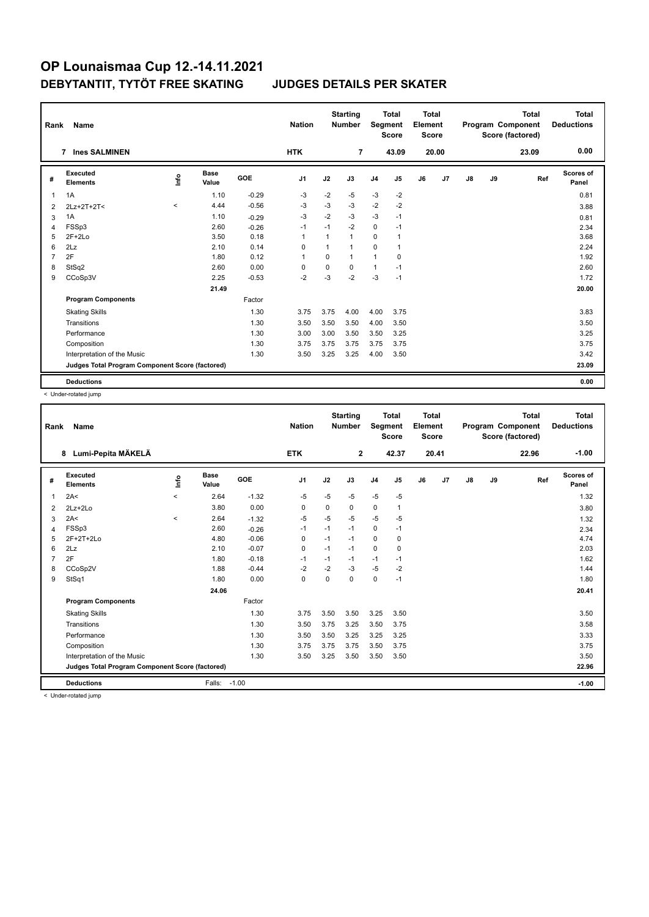| Rank           | <b>Name</b>                                     |                                  |                      |            | <b>Nation</b>  |             | <b>Starting</b><br><b>Number</b> | Segment        | <b>Total</b><br><b>Score</b> | <b>Total</b><br>Element<br><b>Score</b> |       |               |    | <b>Total</b><br>Program Component<br>Score (factored) | <b>Total</b><br><b>Deductions</b> |
|----------------|-------------------------------------------------|----------------------------------|----------------------|------------|----------------|-------------|----------------------------------|----------------|------------------------------|-----------------------------------------|-------|---------------|----|-------------------------------------------------------|-----------------------------------|
|                | <b>Ines SALMINEN</b><br>7                       |                                  |                      |            | <b>HTK</b>     |             | 7                                |                | 43.09                        |                                         | 20.00 |               |    | 23.09                                                 | 0.00                              |
| #              | Executed<br><b>Elements</b>                     | $\mathop{\mathsf{Int}}\nolimits$ | <b>Base</b><br>Value | <b>GOE</b> | J <sub>1</sub> | J2          | J3                               | J <sub>4</sub> | J5                           | J6                                      | J7    | $\mathsf{J}8$ | J9 | Ref                                                   | <b>Scores of</b><br>Panel         |
| 1              | 1A                                              |                                  | 1.10                 | $-0.29$    | $-3$           | $-2$        | $-5$                             | $-3$           | $-2$                         |                                         |       |               |    |                                                       | 0.81                              |
| 2              | 2Lz+2T+2T<                                      | $\,<\,$                          | 4.44                 | $-0.56$    | -3             | $-3$        | $-3$                             | $-2$           | $-2$                         |                                         |       |               |    |                                                       | 3.88                              |
| 3              | 1A                                              |                                  | 1.10                 | $-0.29$    | $-3$           | $-2$        | $-3$                             | $-3$           | $-1$                         |                                         |       |               |    |                                                       | 0.81                              |
| $\overline{4}$ | FSSp3                                           |                                  | 2.60                 | $-0.26$    | $-1$           | $-1$        | $-2$                             | $\mathbf 0$    | $-1$                         |                                         |       |               |    |                                                       | 2.34                              |
| 5              | $2F+2Lo$                                        |                                  | 3.50                 | 0.18       | $\overline{1}$ | 1           | 1                                | $\mathbf 0$    | $\mathbf{1}$                 |                                         |       |               |    |                                                       | 3.68                              |
| 6              | 2Lz                                             |                                  | 2.10                 | 0.14       | 0              | 1           | 1                                | 0              | 1                            |                                         |       |               |    |                                                       | 2.24                              |
| $\overline{7}$ | 2F                                              |                                  | 1.80                 | 0.12       | $\overline{1}$ | $\mathbf 0$ | 1                                | $\mathbf{1}$   | $\mathbf 0$                  |                                         |       |               |    |                                                       | 1.92                              |
| 8              | StSq2                                           |                                  | 2.60                 | 0.00       | 0              | 0           | $\Omega$                         | $\mathbf{1}$   | $-1$                         |                                         |       |               |    |                                                       | 2.60                              |
| 9              | CCoSp3V                                         |                                  | 2.25                 | $-0.53$    | $-2$           | $-3$        | $-2$                             | $-3$           | $-1$                         |                                         |       |               |    |                                                       | 1.72                              |
|                |                                                 |                                  | 21.49                |            |                |             |                                  |                |                              |                                         |       |               |    |                                                       | 20.00                             |
|                | <b>Program Components</b>                       |                                  |                      | Factor     |                |             |                                  |                |                              |                                         |       |               |    |                                                       |                                   |
|                | <b>Skating Skills</b>                           |                                  |                      | 1.30       | 3.75           | 3.75        | 4.00                             | 4.00           | 3.75                         |                                         |       |               |    |                                                       | 3.83                              |
|                | Transitions                                     |                                  |                      | 1.30       | 3.50           | 3.50        | 3.50                             | 4.00           | 3.50                         |                                         |       |               |    |                                                       | 3.50                              |
|                | Performance                                     |                                  |                      | 1.30       | 3.00           | 3.00        | 3.50                             | 3.50           | 3.25                         |                                         |       |               |    |                                                       | 3.25                              |
|                | Composition                                     |                                  |                      | 1.30       | 3.75           | 3.75        | 3.75                             | 3.75           | 3.75                         |                                         |       |               |    |                                                       | 3.75                              |
|                | Interpretation of the Music                     |                                  |                      | 1.30       | 3.50           | 3.25        | 3.25                             | 4.00           | 3.50                         |                                         |       |               |    |                                                       | 3.42                              |
|                | Judges Total Program Component Score (factored) |                                  |                      |            |                |             |                                  |                |                              |                                         |       |               |    |                                                       | 23.09                             |
|                | <b>Deductions</b>                               |                                  |                      |            |                |             |                                  |                |                              |                                         |       |               |    |                                                       | 0.00                              |

< Under-rotated jump

| Rank           | Name                                            |           |               |         | <b>Nation</b>  |          | <b>Starting</b><br><b>Number</b> | Segment        | <b>Total</b><br><b>Score</b> | <b>Total</b><br>Element<br><b>Score</b> |       |    |    | <b>Total</b><br>Program Component<br>Score (factored) | <b>Total</b><br><b>Deductions</b> |
|----------------|-------------------------------------------------|-----------|---------------|---------|----------------|----------|----------------------------------|----------------|------------------------------|-----------------------------------------|-------|----|----|-------------------------------------------------------|-----------------------------------|
|                | Lumi-Pepita MÄKELÄ<br>8                         |           |               |         | <b>ETK</b>     |          | $\mathbf{2}$                     |                | 42.37                        |                                         | 20.41 |    |    | 22.96                                                 | $-1.00$                           |
| #              | Executed<br><b>Elements</b>                     | <u>fo</u> | Base<br>Value | GOE     | J <sub>1</sub> | J2       | J3                               | J <sub>4</sub> | J5                           | J6                                      | J7    | J8 | J9 | Ref                                                   | <b>Scores of</b><br>Panel         |
| $\mathbf{1}$   | 2A<                                             | $\prec$   | 2.64          | $-1.32$ | $-5$           | $-5$     | $-5$                             | $-5$           | $-5$                         |                                         |       |    |    |                                                       | 1.32                              |
| 2              | $2Lz + 2Lo$                                     |           | 3.80          | 0.00    | 0              | 0        | 0                                | 0              | $\mathbf{1}$                 |                                         |       |    |    |                                                       | 3.80                              |
| 3              | 2A<                                             | $\prec$   | 2.64          | $-1.32$ | $-5$           | $-5$     | $-5$                             | -5             | -5                           |                                         |       |    |    |                                                       | 1.32                              |
| 4              | FSSp3                                           |           | 2.60          | $-0.26$ | $-1$           | $-1$     | $-1$                             | 0              | $-1$                         |                                         |       |    |    |                                                       | 2.34                              |
| 5              | 2F+2T+2Lo                                       |           | 4.80          | $-0.06$ | 0              | $-1$     | $-1$                             | $\mathbf 0$    | 0                            |                                         |       |    |    |                                                       | 4.74                              |
| 6              | 2Lz                                             |           | 2.10          | $-0.07$ | 0              | $-1$     | $-1$                             | 0              | 0                            |                                         |       |    |    |                                                       | 2.03                              |
| $\overline{7}$ | 2F                                              |           | 1.80          | $-0.18$ | $-1$           | $-1$     | $-1$                             | $-1$           | $-1$                         |                                         |       |    |    |                                                       | 1.62                              |
| 8              | CCoSp2V                                         |           | 1.88          | $-0.44$ | $-2$           | $-2$     | $-3$                             | $-5$           | $-2$                         |                                         |       |    |    |                                                       | 1.44                              |
| 9              | StSq1                                           |           | 1.80          | 0.00    | 0              | $\Omega$ | 0                                | 0              | $-1$                         |                                         |       |    |    |                                                       | 1.80                              |
|                |                                                 |           | 24.06         |         |                |          |                                  |                |                              |                                         |       |    |    |                                                       | 20.41                             |
|                | <b>Program Components</b>                       |           |               | Factor  |                |          |                                  |                |                              |                                         |       |    |    |                                                       |                                   |
|                | <b>Skating Skills</b>                           |           |               | 1.30    | 3.75           | 3.50     | 3.50                             | 3.25           | 3.50                         |                                         |       |    |    |                                                       | 3.50                              |
|                | Transitions                                     |           |               | 1.30    | 3.50           | 3.75     | 3.25                             | 3.50           | 3.75                         |                                         |       |    |    |                                                       | 3.58                              |
|                | Performance                                     |           |               | 1.30    | 3.50           | 3.50     | 3.25                             | 3.25           | 3.25                         |                                         |       |    |    |                                                       | 3.33                              |
|                | Composition                                     |           |               | 1.30    | 3.75           | 3.75     | 3.75                             | 3.50           | 3.75                         |                                         |       |    |    |                                                       | 3.75                              |
|                | Interpretation of the Music                     |           |               | 1.30    | 3.50           | 3.25     | 3.50                             | 3.50           | 3.50                         |                                         |       |    |    |                                                       | 3.50                              |
|                | Judges Total Program Component Score (factored) |           |               |         |                |          |                                  |                |                              |                                         |       |    |    |                                                       | 22.96                             |
|                | <b>Deductions</b>                               |           | Falls:        | $-1.00$ |                |          |                                  |                |                              |                                         |       |    |    |                                                       | $-1.00$                           |
|                | a Hadar ratatad irran a                         |           |               |         |                |          |                                  |                |                              |                                         |       |    |    |                                                       |                                   |

< Under-rotated jump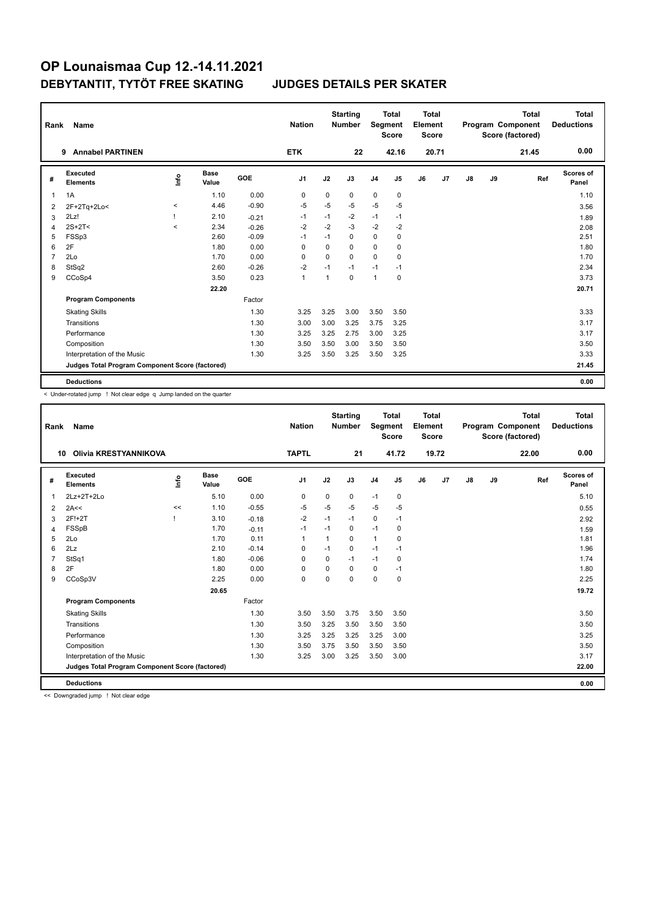| Rank           | Name                                            |         |                      |         | <b>Nation</b>  |             | <b>Starting</b><br><b>Number</b> | Segment        | <b>Total</b><br><b>Score</b> | <b>Total</b><br>Element<br><b>Score</b> |                |               |    | <b>Total</b><br>Program Component<br>Score (factored) | <b>Total</b><br><b>Deductions</b> |
|----------------|-------------------------------------------------|---------|----------------------|---------|----------------|-------------|----------------------------------|----------------|------------------------------|-----------------------------------------|----------------|---------------|----|-------------------------------------------------------|-----------------------------------|
|                | <b>Annabel PARTINEN</b><br>9                    |         |                      |         | <b>ETK</b>     |             | 22                               |                | 42.16                        |                                         | 20.71          |               |    | 21.45                                                 | 0.00                              |
| #              | Executed<br><b>Elements</b>                     | lnfo    | <b>Base</b><br>Value | GOE     | J <sub>1</sub> | J2          | J3                               | J <sub>4</sub> | J5                           | J6                                      | J <sub>7</sub> | $\mathsf{J}8$ | J9 | Ref                                                   | <b>Scores of</b><br>Panel         |
| 1              | 1A                                              |         | 1.10                 | 0.00    | 0              | $\mathbf 0$ | 0                                | $\mathbf 0$    | $\mathbf 0$                  |                                         |                |               |    |                                                       | 1.10                              |
| 2              | 2F+2Tq+2Lo<                                     | $\prec$ | 4.46                 | $-0.90$ | $-5$           | $-5$        | $-5$                             | $-5$           | $-5$                         |                                         |                |               |    |                                                       | 3.56                              |
| 3              | 2Lz!                                            |         | 2.10                 | $-0.21$ | -1             | $-1$        | $-2$                             | $-1$           | $-1$                         |                                         |                |               |    |                                                       | 1.89                              |
| 4              | $2S+2T2$                                        | $\prec$ | 2.34                 | $-0.26$ | $-2$           | $-2$        | $-3$                             | $-2$           | $-2$                         |                                         |                |               |    |                                                       | 2.08                              |
| 5              | FSSp3                                           |         | 2.60                 | $-0.09$ | $-1$           | $-1$        | $\Omega$                         | $\mathbf 0$    | 0                            |                                         |                |               |    |                                                       | 2.51                              |
| 6              | 2F                                              |         | 1.80                 | 0.00    | 0              | $\mathbf 0$ | 0                                | $\mathbf 0$    | 0                            |                                         |                |               |    |                                                       | 1.80                              |
| $\overline{7}$ | 2Lo                                             |         | 1.70                 | 0.00    | $\Omega$       | $\Omega$    | $\Omega$                         | $\Omega$       | 0                            |                                         |                |               |    |                                                       | 1.70                              |
| 8              | StSq2                                           |         | 2.60                 | $-0.26$ | $-2$           | $-1$        | $-1$                             | $-1$           | $-1$                         |                                         |                |               |    |                                                       | 2.34                              |
| 9              | CCoSp4                                          |         | 3.50                 | 0.23    | $\overline{1}$ | 1           | $\mathbf 0$                      | $\mathbf{1}$   | $\mathbf 0$                  |                                         |                |               |    |                                                       | 3.73                              |
|                |                                                 |         | 22.20                |         |                |             |                                  |                |                              |                                         |                |               |    |                                                       | 20.71                             |
|                | <b>Program Components</b>                       |         |                      | Factor  |                |             |                                  |                |                              |                                         |                |               |    |                                                       |                                   |
|                | <b>Skating Skills</b>                           |         |                      | 1.30    | 3.25           | 3.25        | 3.00                             | 3.50           | 3.50                         |                                         |                |               |    |                                                       | 3.33                              |
|                | Transitions                                     |         |                      | 1.30    | 3.00           | 3.00        | 3.25                             | 3.75           | 3.25                         |                                         |                |               |    |                                                       | 3.17                              |
|                | Performance                                     |         |                      | 1.30    | 3.25           | 3.25        | 2.75                             | 3.00           | 3.25                         |                                         |                |               |    |                                                       | 3.17                              |
|                | Composition                                     |         |                      | 1.30    | 3.50           | 3.50        | 3.00                             | 3.50           | 3.50                         |                                         |                |               |    |                                                       | 3.50                              |
|                | Interpretation of the Music                     |         |                      | 1.30    | 3.25           | 3.50        | 3.25                             | 3.50           | 3.25                         |                                         |                |               |    |                                                       | 3.33                              |
|                | Judges Total Program Component Score (factored) |         |                      |         |                |             |                                  |                |                              |                                         |                |               |    |                                                       | 21.45                             |
|                | <b>Deductions</b>                               |         |                      |         |                |             |                                  |                |                              |                                         |                |               |    |                                                       | 0.00                              |

< Under-rotated jump ! Not clear edge q Jump landed on the quarter

| Rank         | Name                                            |      |                      |         | <b>Nation</b>  |             | <b>Starting</b><br><b>Number</b> | Segment        | <b>Total</b><br><b>Score</b> | <b>Total</b><br>Element<br><b>Score</b> |       |               |    | <b>Total</b><br>Program Component<br>Score (factored) | <b>Total</b><br><b>Deductions</b> |
|--------------|-------------------------------------------------|------|----------------------|---------|----------------|-------------|----------------------------------|----------------|------------------------------|-----------------------------------------|-------|---------------|----|-------------------------------------------------------|-----------------------------------|
| 10           | Olivia KRESTYANNIKOVA                           |      |                      |         | <b>TAPTL</b>   |             | 21                               |                | 41.72                        |                                         | 19.72 |               |    | 22.00                                                 | 0.00                              |
| #            | Executed<br><b>Elements</b>                     | Info | <b>Base</b><br>Value | GOE     | J <sub>1</sub> | J2          | J3                               | J <sub>4</sub> | J5                           | J6                                      | J7    | $\mathsf{J}8$ | J9 | Ref                                                   | <b>Scores of</b><br>Panel         |
| $\mathbf{1}$ | 2Lz+2T+2Lo                                      |      | 5.10                 | 0.00    | 0              | $\mathbf 0$ | 0                                | $-1$           | $\mathbf 0$                  |                                         |       |               |    |                                                       | 5.10                              |
| 2            | 2A<<                                            | <<   | 1.10                 | $-0.55$ | $-5$           | $-5$        | $-5$                             | $-5$           | -5                           |                                         |       |               |    |                                                       | 0.55                              |
| 3            | 2F!+2T                                          |      | 3.10                 | $-0.18$ | $-2$           | $-1$        | $-1$                             | $\mathbf 0$    | $-1$                         |                                         |       |               |    |                                                       | 2.92                              |
| 4            | FSSpB                                           |      | 1.70                 | $-0.11$ | $-1$           | $-1$        | 0                                | $-1$           | 0                            |                                         |       |               |    |                                                       | 1.59                              |
| 5            | 2Lo                                             |      | 1.70                 | 0.11    | $\mathbf 1$    | 1           | $\Omega$                         | $\mathbf{1}$   | 0                            |                                         |       |               |    |                                                       | 1.81                              |
| 6            | 2Lz                                             |      | 2.10                 | $-0.14$ | $\Omega$       | $-1$        | 0                                | $-1$           | $-1$                         |                                         |       |               |    |                                                       | 1.96                              |
| 7            | StSq1                                           |      | 1.80                 | $-0.06$ | $\mathbf 0$    | $\Omega$    | $-1$                             | $-1$           | $\pmb{0}$                    |                                         |       |               |    |                                                       | 1.74                              |
| 8            | 2F                                              |      | 1.80                 | 0.00    | 0              | 0           | 0                                | 0              | $-1$                         |                                         |       |               |    |                                                       | 1.80                              |
| 9            | CCoSp3V                                         |      | 2.25                 | 0.00    | $\mathbf 0$    | $\Omega$    | $\Omega$                         | $\mathbf 0$    | 0                            |                                         |       |               |    |                                                       | 2.25                              |
|              |                                                 |      | 20.65                |         |                |             |                                  |                |                              |                                         |       |               |    |                                                       | 19.72                             |
|              | <b>Program Components</b>                       |      |                      | Factor  |                |             |                                  |                |                              |                                         |       |               |    |                                                       |                                   |
|              | <b>Skating Skills</b>                           |      |                      | 1.30    | 3.50           | 3.50        | 3.75                             | 3.50           | 3.50                         |                                         |       |               |    |                                                       | 3.50                              |
|              | Transitions                                     |      |                      | 1.30    | 3.50           | 3.25        | 3.50                             | 3.50           | 3.50                         |                                         |       |               |    |                                                       | 3.50                              |
|              | Performance                                     |      |                      | 1.30    | 3.25           | 3.25        | 3.25                             | 3.25           | 3.00                         |                                         |       |               |    |                                                       | 3.25                              |
|              | Composition                                     |      |                      | 1.30    | 3.50           | 3.75        | 3.50                             | 3.50           | 3.50                         |                                         |       |               |    |                                                       | 3.50                              |
|              | Interpretation of the Music                     |      |                      | 1.30    | 3.25           | 3.00        | 3.25                             | 3.50           | 3.00                         |                                         |       |               |    |                                                       | 3.17                              |
|              | Judges Total Program Component Score (factored) |      |                      |         |                |             |                                  |                |                              |                                         |       |               |    |                                                       | 22.00                             |
|              | <b>Deductions</b>                               |      |                      |         |                |             |                                  |                |                              |                                         |       |               |    |                                                       | 0.00                              |

<< Downgraded jump ! Not clear edge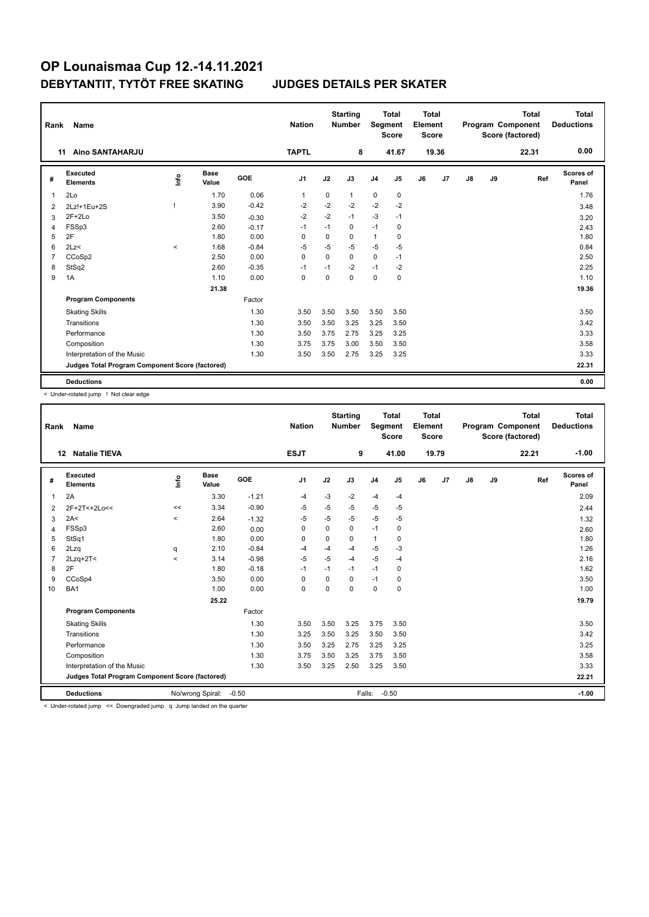| Rank           | Name                                            |          |                      |         | <b>Nation</b>  |             | <b>Starting</b><br><b>Number</b> | Segment        | <b>Total</b><br><b>Score</b> | <b>Total</b><br>Element<br><b>Score</b> |       |    |    | <b>Total</b><br>Program Component<br>Score (factored) | Total<br><b>Deductions</b> |
|----------------|-------------------------------------------------|----------|----------------------|---------|----------------|-------------|----------------------------------|----------------|------------------------------|-----------------------------------------|-------|----|----|-------------------------------------------------------|----------------------------|
|                | Aino SANTAHARJU<br>11                           |          |                      |         | <b>TAPTL</b>   |             | 8                                |                | 41.67                        |                                         | 19.36 |    |    | 22.31                                                 | 0.00                       |
| #              | <b>Executed</b><br><b>Elements</b>              | ۴ů       | <b>Base</b><br>Value | GOE     | J <sub>1</sub> | J2          | J3                               | J <sub>4</sub> | J5                           | J6                                      | J7    | J8 | J9 | Ref                                                   | Scores of<br>Panel         |
| 1              | 2Lo                                             |          | 1.70                 | 0.06    | 1              | 0           | $\mathbf{1}$                     | 0              | 0                            |                                         |       |    |    |                                                       | 1.76                       |
| 2              | 2Lz!+1Eu+2S                                     |          | 3.90                 | $-0.42$ | $-2$           | $-2$        | $-2$                             | $-2$           | $-2$                         |                                         |       |    |    |                                                       | 3.48                       |
| 3              | $2F+2Lo$                                        |          | 3.50                 | $-0.30$ | $-2$           | $-2$        | $-1$                             | $-3$           | $-1$                         |                                         |       |    |    |                                                       | 3.20                       |
| 4              | FSSp3                                           |          | 2.60                 | $-0.17$ | $-1$           | $-1$        | 0                                | $-1$           | 0                            |                                         |       |    |    |                                                       | 2.43                       |
| 5              | 2F                                              |          | 1.80                 | 0.00    | $\Omega$       | 0           | $\Omega$                         | 1              | 0                            |                                         |       |    |    |                                                       | 1.80                       |
| 6              | 2Lz                                             | $\hat{}$ | 1.68                 | $-0.84$ | $-5$           | $-5$        | $-5$                             | $-5$           | $-5$                         |                                         |       |    |    |                                                       | 0.84                       |
| $\overline{7}$ | CCoSp2                                          |          | 2.50                 | 0.00    | $\mathbf 0$    | $\mathbf 0$ | $\mathbf 0$                      | 0              | $-1$                         |                                         |       |    |    |                                                       | 2.50                       |
| 8              | StSq2                                           |          | 2.60                 | $-0.35$ | $-1$           | $-1$        | $-2$                             | $-1$           | $-2$                         |                                         |       |    |    |                                                       | 2.25                       |
| 9              | 1A                                              |          | 1.10                 | 0.00    | 0              | $\Omega$    | $\Omega$                         | $\mathbf 0$    | $\mathbf 0$                  |                                         |       |    |    |                                                       | 1.10                       |
|                |                                                 |          | 21.38                |         |                |             |                                  |                |                              |                                         |       |    |    |                                                       | 19.36                      |
|                | <b>Program Components</b>                       |          |                      | Factor  |                |             |                                  |                |                              |                                         |       |    |    |                                                       |                            |
|                | <b>Skating Skills</b>                           |          |                      | 1.30    | 3.50           | 3.50        | 3.50                             | 3.50           | 3.50                         |                                         |       |    |    |                                                       | 3.50                       |
|                | Transitions                                     |          |                      | 1.30    | 3.50           | 3.50        | 3.25                             | 3.25           | 3.50                         |                                         |       |    |    |                                                       | 3.42                       |
|                | Performance                                     |          |                      | 1.30    | 3.50           | 3.75        | 2.75                             | 3.25           | 3.25                         |                                         |       |    |    |                                                       | 3.33                       |
|                | Composition                                     |          |                      | 1.30    | 3.75           | 3.75        | 3.00                             | 3.50           | 3.50                         |                                         |       |    |    |                                                       | 3.58                       |
|                | Interpretation of the Music                     |          |                      | 1.30    | 3.50           | 3.50        | 2.75                             | 3.25           | 3.25                         |                                         |       |    |    |                                                       | 3.33                       |
|                | Judges Total Program Component Score (factored) |          |                      |         |                |             |                                  |                |                              |                                         |       |    |    |                                                       | 22.31                      |
|                | <b>Deductions</b>                               |          |                      |         |                |             |                                  |                |                              |                                         |       |    |    |                                                       | 0.00                       |

< Under-rotated jump ! Not clear edge

| $-1.00$<br><b>Natalie TIEVA</b><br><b>ESJT</b><br>41.00<br>19.79<br>22.21<br>9<br>12<br>Executed<br>Scores of<br><b>Base</b><br>$\frac{6}{10}$<br>GOE<br>J <sub>1</sub><br>J2<br>J3<br>J5<br>J6<br>J9<br>J <sub>4</sub><br>J <sub>7</sub><br>$\mathsf{J}8$<br>Ref<br>#<br><b>Elements</b><br>Value<br>Panel<br>2A<br>$-1.21$<br>-3<br>3.30<br>$-2$<br>$-4$<br>2.09<br>$-4$<br>$\overline{1}$<br>-4<br>$-0.90$<br>$-5$<br>$-5$<br>3.34<br>$-5$<br>$-5$<br>-5<br><<<br>2F+2T<+2Lo<<<br>2.44<br>2<br>$-5$<br>2A<<br>2.64<br>$-5$<br>$-5$<br>$-5$<br>$-5$<br>$\prec$<br>$-1.32$<br>1.32<br>3<br>2.60<br>FSSp3<br>0<br>0<br>$-1$<br>0<br>0<br>0.00<br>2.60<br>4<br>0.00<br>StSq1<br>$\mathbf{1}$<br>1.80<br>1.80<br>0<br>0<br>$\Omega$<br>0<br>5<br>$-0.84$<br>$-5$<br>$-3$<br>1.26<br>2Lzq<br>2.10<br>6<br>$-4$<br>-4<br>-4<br>q<br>$-5$<br>$-5$<br>3.14<br>$-0.98$<br>$2Lzq+2T<$<br>$-5$<br>2.16<br>$\overline{7}$<br>-4<br>$-4$<br>$\prec$<br>2F<br>$-0.18$<br>1.62<br>8<br>1.80<br>$-1$<br>$-1$<br>$-1$<br>0<br>$-1$<br>0.00<br>3.50<br>CCoSp4<br>3.50<br>0<br>$\Omega$<br>$\Omega$<br>$-1$<br>9<br>0<br>BA <sub>1</sub><br>1.00<br>0.00<br>0<br>$\mathbf 0$<br>$\mathbf 0$<br>1.00<br>0<br>0<br>10<br>25.22<br>19.79<br><b>Program Components</b><br>Factor<br>1.30<br>3.50<br>3.75<br><b>Skating Skills</b><br>3.50<br>3.25<br>3.50<br>3.50<br>Transitions<br>1.30<br>3.25<br>3.50<br>3.50<br>3.42<br>3.25<br>3.50<br>3.25<br>3.25<br>Performance<br>1.30<br>3.50<br>3.25<br>2.75<br>3.25<br>1.30<br>3.75<br>3.50<br>3.58<br>Composition<br>3.75<br>3.50<br>3.25<br>3.33<br>Interpretation of the Music<br>1.30<br>3.50<br>3.25<br>2.50<br>3.25<br>3.50<br>Judges Total Program Component Score (factored)<br>22.21<br><b>Deductions</b><br>No/wrong Spiral:<br>$-0.50$<br>$-0.50$<br>Falls:<br>$-1.00$ | Rank | <b>Name</b> | <b>Nation</b> | <b>Starting</b><br><b>Number</b> | Segment | <b>Total</b><br><b>Score</b> | <b>Total</b><br>Element<br><b>Score</b> |  | <b>Total</b><br>Program Component<br>Score (factored) | <b>Total</b><br><b>Deductions</b> |  |
|----------------------------------------------------------------------------------------------------------------------------------------------------------------------------------------------------------------------------------------------------------------------------------------------------------------------------------------------------------------------------------------------------------------------------------------------------------------------------------------------------------------------------------------------------------------------------------------------------------------------------------------------------------------------------------------------------------------------------------------------------------------------------------------------------------------------------------------------------------------------------------------------------------------------------------------------------------------------------------------------------------------------------------------------------------------------------------------------------------------------------------------------------------------------------------------------------------------------------------------------------------------------------------------------------------------------------------------------------------------------------------------------------------------------------------------------------------------------------------------------------------------------------------------------------------------------------------------------------------------------------------------------------------------------------------------------------------------------------------------------------------------------------------------------------------|------|-------------|---------------|----------------------------------|---------|------------------------------|-----------------------------------------|--|-------------------------------------------------------|-----------------------------------|--|
|                                                                                                                                                                                                                                                                                                                                                                                                                                                                                                                                                                                                                                                                                                                                                                                                                                                                                                                                                                                                                                                                                                                                                                                                                                                                                                                                                                                                                                                                                                                                                                                                                                                                                                                                                                                                          |      |             |               |                                  |         |                              |                                         |  |                                                       |                                   |  |
|                                                                                                                                                                                                                                                                                                                                                                                                                                                                                                                                                                                                                                                                                                                                                                                                                                                                                                                                                                                                                                                                                                                                                                                                                                                                                                                                                                                                                                                                                                                                                                                                                                                                                                                                                                                                          |      |             |               |                                  |         |                              |                                         |  |                                                       |                                   |  |
|                                                                                                                                                                                                                                                                                                                                                                                                                                                                                                                                                                                                                                                                                                                                                                                                                                                                                                                                                                                                                                                                                                                                                                                                                                                                                                                                                                                                                                                                                                                                                                                                                                                                                                                                                                                                          |      |             |               |                                  |         |                              |                                         |  |                                                       |                                   |  |
|                                                                                                                                                                                                                                                                                                                                                                                                                                                                                                                                                                                                                                                                                                                                                                                                                                                                                                                                                                                                                                                                                                                                                                                                                                                                                                                                                                                                                                                                                                                                                                                                                                                                                                                                                                                                          |      |             |               |                                  |         |                              |                                         |  |                                                       |                                   |  |
|                                                                                                                                                                                                                                                                                                                                                                                                                                                                                                                                                                                                                                                                                                                                                                                                                                                                                                                                                                                                                                                                                                                                                                                                                                                                                                                                                                                                                                                                                                                                                                                                                                                                                                                                                                                                          |      |             |               |                                  |         |                              |                                         |  |                                                       |                                   |  |
|                                                                                                                                                                                                                                                                                                                                                                                                                                                                                                                                                                                                                                                                                                                                                                                                                                                                                                                                                                                                                                                                                                                                                                                                                                                                                                                                                                                                                                                                                                                                                                                                                                                                                                                                                                                                          |      |             |               |                                  |         |                              |                                         |  |                                                       |                                   |  |
|                                                                                                                                                                                                                                                                                                                                                                                                                                                                                                                                                                                                                                                                                                                                                                                                                                                                                                                                                                                                                                                                                                                                                                                                                                                                                                                                                                                                                                                                                                                                                                                                                                                                                                                                                                                                          |      |             |               |                                  |         |                              |                                         |  |                                                       |                                   |  |
|                                                                                                                                                                                                                                                                                                                                                                                                                                                                                                                                                                                                                                                                                                                                                                                                                                                                                                                                                                                                                                                                                                                                                                                                                                                                                                                                                                                                                                                                                                                                                                                                                                                                                                                                                                                                          |      |             |               |                                  |         |                              |                                         |  |                                                       |                                   |  |
|                                                                                                                                                                                                                                                                                                                                                                                                                                                                                                                                                                                                                                                                                                                                                                                                                                                                                                                                                                                                                                                                                                                                                                                                                                                                                                                                                                                                                                                                                                                                                                                                                                                                                                                                                                                                          |      |             |               |                                  |         |                              |                                         |  |                                                       |                                   |  |
|                                                                                                                                                                                                                                                                                                                                                                                                                                                                                                                                                                                                                                                                                                                                                                                                                                                                                                                                                                                                                                                                                                                                                                                                                                                                                                                                                                                                                                                                                                                                                                                                                                                                                                                                                                                                          |      |             |               |                                  |         |                              |                                         |  |                                                       |                                   |  |
|                                                                                                                                                                                                                                                                                                                                                                                                                                                                                                                                                                                                                                                                                                                                                                                                                                                                                                                                                                                                                                                                                                                                                                                                                                                                                                                                                                                                                                                                                                                                                                                                                                                                                                                                                                                                          |      |             |               |                                  |         |                              |                                         |  |                                                       |                                   |  |
|                                                                                                                                                                                                                                                                                                                                                                                                                                                                                                                                                                                                                                                                                                                                                                                                                                                                                                                                                                                                                                                                                                                                                                                                                                                                                                                                                                                                                                                                                                                                                                                                                                                                                                                                                                                                          |      |             |               |                                  |         |                              |                                         |  |                                                       |                                   |  |
|                                                                                                                                                                                                                                                                                                                                                                                                                                                                                                                                                                                                                                                                                                                                                                                                                                                                                                                                                                                                                                                                                                                                                                                                                                                                                                                                                                                                                                                                                                                                                                                                                                                                                                                                                                                                          |      |             |               |                                  |         |                              |                                         |  |                                                       |                                   |  |
|                                                                                                                                                                                                                                                                                                                                                                                                                                                                                                                                                                                                                                                                                                                                                                                                                                                                                                                                                                                                                                                                                                                                                                                                                                                                                                                                                                                                                                                                                                                                                                                                                                                                                                                                                                                                          |      |             |               |                                  |         |                              |                                         |  |                                                       |                                   |  |
|                                                                                                                                                                                                                                                                                                                                                                                                                                                                                                                                                                                                                                                                                                                                                                                                                                                                                                                                                                                                                                                                                                                                                                                                                                                                                                                                                                                                                                                                                                                                                                                                                                                                                                                                                                                                          |      |             |               |                                  |         |                              |                                         |  |                                                       |                                   |  |
|                                                                                                                                                                                                                                                                                                                                                                                                                                                                                                                                                                                                                                                                                                                                                                                                                                                                                                                                                                                                                                                                                                                                                                                                                                                                                                                                                                                                                                                                                                                                                                                                                                                                                                                                                                                                          |      |             |               |                                  |         |                              |                                         |  |                                                       |                                   |  |
|                                                                                                                                                                                                                                                                                                                                                                                                                                                                                                                                                                                                                                                                                                                                                                                                                                                                                                                                                                                                                                                                                                                                                                                                                                                                                                                                                                                                                                                                                                                                                                                                                                                                                                                                                                                                          |      |             |               |                                  |         |                              |                                         |  |                                                       |                                   |  |
|                                                                                                                                                                                                                                                                                                                                                                                                                                                                                                                                                                                                                                                                                                                                                                                                                                                                                                                                                                                                                                                                                                                                                                                                                                                                                                                                                                                                                                                                                                                                                                                                                                                                                                                                                                                                          |      |             |               |                                  |         |                              |                                         |  |                                                       |                                   |  |
|                                                                                                                                                                                                                                                                                                                                                                                                                                                                                                                                                                                                                                                                                                                                                                                                                                                                                                                                                                                                                                                                                                                                                                                                                                                                                                                                                                                                                                                                                                                                                                                                                                                                                                                                                                                                          |      |             |               |                                  |         |                              |                                         |  |                                                       |                                   |  |
|                                                                                                                                                                                                                                                                                                                                                                                                                                                                                                                                                                                                                                                                                                                                                                                                                                                                                                                                                                                                                                                                                                                                                                                                                                                                                                                                                                                                                                                                                                                                                                                                                                                                                                                                                                                                          |      |             |               |                                  |         |                              |                                         |  |                                                       |                                   |  |
|                                                                                                                                                                                                                                                                                                                                                                                                                                                                                                                                                                                                                                                                                                                                                                                                                                                                                                                                                                                                                                                                                                                                                                                                                                                                                                                                                                                                                                                                                                                                                                                                                                                                                                                                                                                                          |      |             |               |                                  |         |                              |                                         |  |                                                       |                                   |  |
|                                                                                                                                                                                                                                                                                                                                                                                                                                                                                                                                                                                                                                                                                                                                                                                                                                                                                                                                                                                                                                                                                                                                                                                                                                                                                                                                                                                                                                                                                                                                                                                                                                                                                                                                                                                                          |      |             |               |                                  |         |                              |                                         |  |                                                       |                                   |  |

< Under-rotated jump << Downgraded jump q Jump landed on the quarter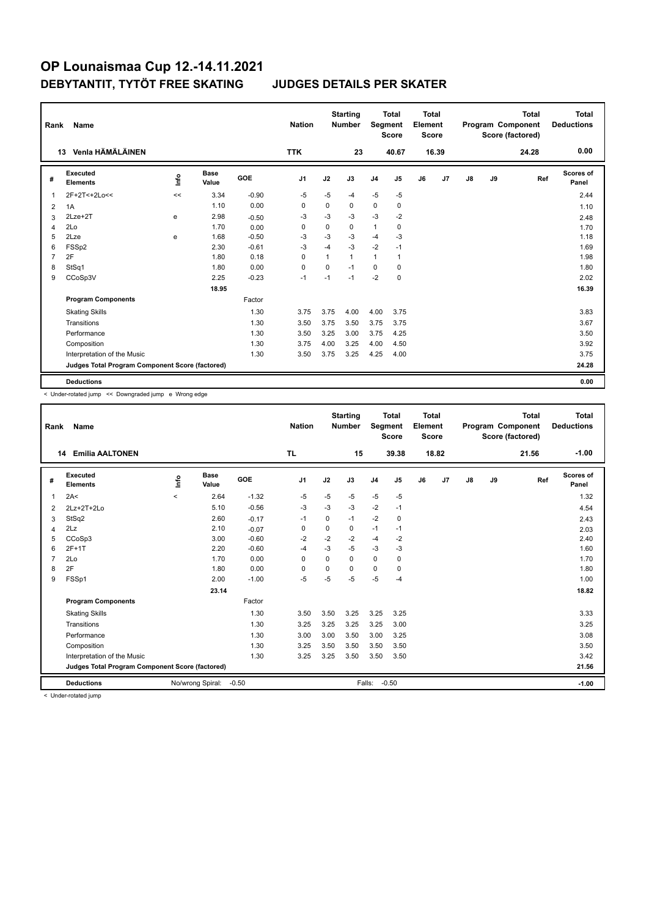| Rank           | <b>Name</b>                                     |      |                      |         | <b>Nation</b>  |              | <b>Starting</b><br><b>Number</b> | Segment        | <b>Total</b><br><b>Score</b> | <b>Total</b><br>Element<br><b>Score</b> |                |    |    | <b>Total</b><br>Program Component<br>Score (factored) | <b>Total</b><br><b>Deductions</b> |
|----------------|-------------------------------------------------|------|----------------------|---------|----------------|--------------|----------------------------------|----------------|------------------------------|-----------------------------------------|----------------|----|----|-------------------------------------------------------|-----------------------------------|
|                | Venla HÄMÄLÄINEN<br>13                          |      |                      |         | <b>TTK</b>     |              | 23                               |                | 40.67                        |                                         | 16.39          |    |    | 24.28                                                 | 0.00                              |
| #              | Executed<br><b>Elements</b>                     | lnfo | <b>Base</b><br>Value | GOE     | J <sub>1</sub> | J2           | J3                               | J <sub>4</sub> | J5                           | J6                                      | J <sub>7</sub> | J8 | J9 | Ref                                                   | <b>Scores of</b><br>Panel         |
| $\overline{1}$ | 2F+2T<+2Lo<<                                    | <<   | 3.34                 | $-0.90$ | $-5$           | $-5$         | $-4$                             | $-5$           | $-5$                         |                                         |                |    |    |                                                       | 2.44                              |
| 2              | 1A                                              |      | 1.10                 | 0.00    | $\Omega$       | 0            | 0                                | $\mathbf 0$    | 0                            |                                         |                |    |    |                                                       | 1.10                              |
| 3              | $2Lze+2T$                                       | e    | 2.98                 | $-0.50$ | $-3$           | $-3$         | $-3$                             | $-3$           | $-2$                         |                                         |                |    |    |                                                       | 2.48                              |
| 4              | 2Lo                                             |      | 1.70                 | 0.00    | $\Omega$       | $\Omega$     | $\Omega$                         | $\mathbf{1}$   | 0                            |                                         |                |    |    |                                                       | 1.70                              |
| 5              | 2Lze                                            | e    | 1.68                 | $-0.50$ | -3             | $-3$         | $-3$                             | $-4$           | $-3$                         |                                         |                |    |    |                                                       | 1.18                              |
| 6              | FSSp2                                           |      | 2.30                 | $-0.61$ | $-3$           | $-4$         | $-3$                             | $-2$           | $-1$                         |                                         |                |    |    |                                                       | 1.69                              |
| $\overline{7}$ | 2F                                              |      | 1.80                 | 0.18    | $\Omega$       | $\mathbf{1}$ | 1                                | $\mathbf{1}$   | 1                            |                                         |                |    |    |                                                       | 1.98                              |
| 8              | StSq1                                           |      | 1.80                 | 0.00    | 0              | 0            | $-1$                             | $\Omega$       | 0                            |                                         |                |    |    |                                                       | 1.80                              |
| 9              | CCoSp3V                                         |      | 2.25                 | $-0.23$ | $-1$           | $-1$         | $-1$                             | $-2$           | $\mathbf 0$                  |                                         |                |    |    |                                                       | 2.02                              |
|                |                                                 |      | 18.95                |         |                |              |                                  |                |                              |                                         |                |    |    |                                                       | 16.39                             |
|                | <b>Program Components</b>                       |      |                      | Factor  |                |              |                                  |                |                              |                                         |                |    |    |                                                       |                                   |
|                | <b>Skating Skills</b>                           |      |                      | 1.30    | 3.75           | 3.75         | 4.00                             | 4.00           | 3.75                         |                                         |                |    |    |                                                       | 3.83                              |
|                | Transitions                                     |      |                      | 1.30    | 3.50           | 3.75         | 3.50                             | 3.75           | 3.75                         |                                         |                |    |    |                                                       | 3.67                              |
|                | Performance                                     |      |                      | 1.30    | 3.50           | 3.25         | 3.00                             | 3.75           | 4.25                         |                                         |                |    |    |                                                       | 3.50                              |
|                | Composition                                     |      |                      | 1.30    | 3.75           | 4.00         | 3.25                             | 4.00           | 4.50                         |                                         |                |    |    |                                                       | 3.92                              |
|                | Interpretation of the Music                     |      |                      | 1.30    | 3.50           | 3.75         | 3.25                             | 4.25           | 4.00                         |                                         |                |    |    |                                                       | 3.75                              |
|                | Judges Total Program Component Score (factored) |      |                      |         |                |              |                                  |                |                              |                                         |                |    |    |                                                       | 24.28                             |
|                | <b>Deductions</b>                               |      |                      |         |                |              |                                  |                |                              |                                         |                |    |    |                                                       | 0.00                              |

< Under-rotated jump << Downgraded jump e Wrong edge

| Rank           | Name                                            |         |                      |         | <b>Nation</b>  |             | <b>Starting</b><br><b>Number</b> | Segment        | <b>Total</b><br><b>Score</b> | <b>Total</b><br>Element<br><b>Score</b> |       |               |    | <b>Total</b><br>Program Component<br>Score (factored) | Total<br><b>Deductions</b> |
|----------------|-------------------------------------------------|---------|----------------------|---------|----------------|-------------|----------------------------------|----------------|------------------------------|-----------------------------------------|-------|---------------|----|-------------------------------------------------------|----------------------------|
| 14             | <b>Emilia AALTONEN</b>                          |         |                      |         | <b>TL</b>      |             | 15                               |                | 39.38                        |                                         | 18.82 |               |    | 21.56                                                 | $-1.00$                    |
| #              | Executed<br><b>Elements</b>                     | ۴ů      | <b>Base</b><br>Value | GOE     | J <sub>1</sub> | J2          | J3                               | J <sub>4</sub> | J <sub>5</sub>               | J6                                      | J7    | $\mathsf{J}8$ | J9 | Ref                                                   | <b>Scores of</b><br>Panel  |
| 1              | 2A<                                             | $\prec$ | 2.64                 | $-1.32$ | $-5$           | $-5$        | $-5$                             | $-5$           | $-5$                         |                                         |       |               |    |                                                       | 1.32                       |
| 2              | $2Lz+2T+2Lo$                                    |         | 5.10                 | $-0.56$ | $-3$           | $-3$        | $-3$                             | $-2$           | $-1$                         |                                         |       |               |    |                                                       | 4.54                       |
| 3              | StSq2                                           |         | 2.60                 | $-0.17$ | $-1$           | $\Omega$    | $-1$                             | $-2$           | $\mathbf 0$                  |                                         |       |               |    |                                                       | 2.43                       |
| 4              | 2Lz                                             |         | 2.10                 | $-0.07$ | 0              | $\mathbf 0$ | 0                                | $-1$           | $-1$                         |                                         |       |               |    |                                                       | 2.03                       |
| 5              | CCoSp3                                          |         | 3.00                 | $-0.60$ | $-2$           | $-2$        | $-2$                             | $-4$           | $-2$                         |                                         |       |               |    |                                                       | 2.40                       |
| 6              | $2F+1T$                                         |         | 2.20                 | $-0.60$ | $-4$           | $-3$        | $-5$                             | $-3$           | $-3$                         |                                         |       |               |    |                                                       | 1.60                       |
| $\overline{7}$ | 2Lo                                             |         | 1.70                 | 0.00    | 0              | 0           | 0                                | $\mathbf 0$    | 0                            |                                         |       |               |    |                                                       | 1.70                       |
| 8              | 2F                                              |         | 1.80                 | 0.00    | 0              | 0           | $\Omega$                         | 0              | 0                            |                                         |       |               |    |                                                       | 1.80                       |
| 9              | FSSp1                                           |         | 2.00                 | $-1.00$ | $-5$           | -5          | $-5$                             | $-5$           | $-4$                         |                                         |       |               |    |                                                       | 1.00                       |
|                |                                                 |         | 23.14                |         |                |             |                                  |                |                              |                                         |       |               |    |                                                       | 18.82                      |
|                | <b>Program Components</b>                       |         |                      | Factor  |                |             |                                  |                |                              |                                         |       |               |    |                                                       |                            |
|                | <b>Skating Skills</b>                           |         |                      | 1.30    | 3.50           | 3.50        | 3.25                             | 3.25           | 3.25                         |                                         |       |               |    |                                                       | 3.33                       |
|                | Transitions                                     |         |                      | 1.30    | 3.25           | 3.25        | 3.25                             | 3.25           | 3.00                         |                                         |       |               |    |                                                       | 3.25                       |
|                | Performance                                     |         |                      | 1.30    | 3.00           | 3.00        | 3.50                             | 3.00           | 3.25                         |                                         |       |               |    |                                                       | 3.08                       |
|                | Composition                                     |         |                      | 1.30    | 3.25           | 3.50        | 3.50                             | 3.50           | 3.50                         |                                         |       |               |    |                                                       | 3.50                       |
|                | Interpretation of the Music                     |         |                      | 1.30    | 3.25           | 3.25        | 3.50                             | 3.50           | 3.50                         |                                         |       |               |    |                                                       | 3.42                       |
|                | Judges Total Program Component Score (factored) |         |                      |         |                |             |                                  |                |                              |                                         |       | 21.56         |    |                                                       |                            |
|                | <b>Deductions</b>                               |         |                      |         | Falls:         | $-0.50$     |                                  |                |                              |                                         |       | $-1.00$       |    |                                                       |                            |
|                |                                                 |         |                      |         |                |             |                                  |                |                              |                                         |       |               |    |                                                       |                            |

< Under-rotated jump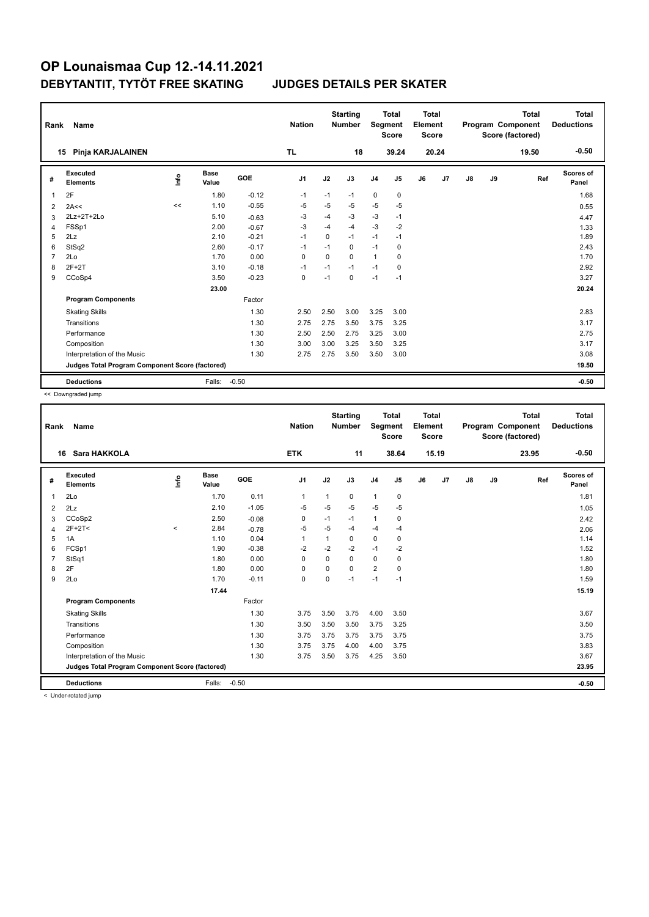| Rank           | <b>Name</b>                                     |      |                      |         | <b>Nation</b>  |             | <b>Starting</b><br><b>Number</b> | <b>Segment</b> | <b>Total</b><br><b>Score</b> | <b>Total</b><br>Element<br><b>Score</b> |                |    |    | <b>Total</b><br>Program Component<br>Score (factored) | <b>Total</b><br><b>Deductions</b> |
|----------------|-------------------------------------------------|------|----------------------|---------|----------------|-------------|----------------------------------|----------------|------------------------------|-----------------------------------------|----------------|----|----|-------------------------------------------------------|-----------------------------------|
|                | Pinja KARJALAINEN<br>15                         |      |                      |         | TL             |             | 18                               |                | 39.24                        |                                         | 20.24          |    |    | 19.50                                                 | $-0.50$                           |
| #              | Executed<br><b>Elements</b>                     | lnfo | <b>Base</b><br>Value | GOE     | J <sub>1</sub> | J2          | J3                               | J <sub>4</sub> | J5                           | J6                                      | J <sub>7</sub> | J8 | J9 | Ref                                                   | <b>Scores of</b><br>Panel         |
| $\overline{1}$ | 2F                                              |      | 1.80                 | $-0.12$ | $-1$           | $-1$        | $-1$                             | $\mathbf 0$    | 0                            |                                         |                |    |    |                                                       | 1.68                              |
| 2              | 2A<<                                            | <<   | 1.10                 | $-0.55$ | $-5$           | $-5$        | $-5$                             | $-5$           | -5                           |                                         |                |    |    |                                                       | 0.55                              |
| 3              | $2Lz+2T+2Lo$                                    |      | 5.10                 | $-0.63$ | $-3$           | $-4$        | $-3$                             | $-3$           | $-1$                         |                                         |                |    |    |                                                       | 4.47                              |
| 4              | FSSp1                                           |      | 2.00                 | $-0.67$ | $-3$           | $-4$        | $-4$                             | $-3$           | $-2$                         |                                         |                |    |    |                                                       | 1.33                              |
| 5              | 2Lz                                             |      | 2.10                 | $-0.21$ | $-1$           | $\mathbf 0$ | $-1$                             | $-1$           | $-1$                         |                                         |                |    |    |                                                       | 1.89                              |
| 6              | StSq2                                           |      | 2.60                 | $-0.17$ | $-1$           | $-1$        | 0                                | $-1$           | 0                            |                                         |                |    |    |                                                       | 2.43                              |
| $\overline{7}$ | 2Lo                                             |      | 1.70                 | 0.00    | $\Omega$       | $\Omega$    | $\Omega$                         | $\overline{1}$ | 0                            |                                         |                |    |    |                                                       | 1.70                              |
| 8              | $2F+2T$                                         |      | 3.10                 | $-0.18$ | $-1$           | $-1$        | $-1$                             | $-1$           | 0                            |                                         |                |    |    |                                                       | 2.92                              |
| 9              | CCoSp4                                          |      | 3.50                 | $-0.23$ | $\pmb{0}$      | $-1$        | 0                                | $-1$           | $-1$                         |                                         |                |    |    |                                                       | 3.27                              |
|                |                                                 |      | 23.00                |         |                |             |                                  |                |                              |                                         |                |    |    |                                                       | 20.24                             |
|                | <b>Program Components</b>                       |      |                      | Factor  |                |             |                                  |                |                              |                                         |                |    |    |                                                       |                                   |
|                | <b>Skating Skills</b>                           |      |                      | 1.30    | 2.50           | 2.50        | 3.00                             | 3.25           | 3.00                         |                                         |                |    |    |                                                       | 2.83                              |
|                | Transitions                                     |      |                      | 1.30    | 2.75           | 2.75        | 3.50                             | 3.75           | 3.25                         |                                         |                |    |    |                                                       | 3.17                              |
|                | Performance                                     |      |                      | 1.30    | 2.50           | 2.50        | 2.75                             | 3.25           | 3.00                         |                                         |                |    |    |                                                       | 2.75                              |
|                | Composition                                     |      |                      | 1.30    | 3.00           | 3.00        | 3.25                             | 3.50           | 3.25                         |                                         |                |    |    |                                                       | 3.17                              |
|                | Interpretation of the Music                     |      |                      | 1.30    | 2.75           | 2.75        | 3.50                             | 3.50           | 3.00                         |                                         |                |    |    |                                                       | 3.08                              |
|                | Judges Total Program Component Score (factored) |      |                      |         |                |             |                                  |                |                              |                                         |                |    |    |                                                       | 19.50                             |
|                | <b>Deductions</b>                               |      | Falls:               | $-0.50$ |                |             |                                  |                |                              |                                         |                |    |    |                                                       | $-0.50$                           |

<< Downgraded jump

| Rank           | Name                                            |       |                      |         | <b>Nation</b>  |              | <b>Starting</b><br><b>Number</b> | Segment        | <b>Total</b><br><b>Score</b> | <b>Total</b><br>Element<br><b>Score</b> |       |               |    | <b>Total</b><br>Program Component<br>Score (factored) | <b>Total</b><br><b>Deductions</b> |
|----------------|-------------------------------------------------|-------|----------------------|---------|----------------|--------------|----------------------------------|----------------|------------------------------|-----------------------------------------|-------|---------------|----|-------------------------------------------------------|-----------------------------------|
|                | Sara HAKKOLA<br>16                              |       |                      |         | <b>ETK</b>     |              | 11                               |                | 38.64                        |                                         | 15.19 |               |    | 23.95                                                 | $-0.50$                           |
| #              | Executed<br><b>Elements</b>                     | lnfo  | <b>Base</b><br>Value | GOE     | J <sub>1</sub> | J2           | J3                               | J <sub>4</sub> | J5                           | J6                                      | J7    | $\mathsf{J}8$ | J9 | Ref                                                   | <b>Scores of</b><br>Panel         |
| $\overline{1}$ | 2Lo                                             |       | 1.70                 | 0.11    | $\mathbf{1}$   | $\mathbf{1}$ | 0                                | $\mathbf{1}$   | $\pmb{0}$                    |                                         |       |               |    |                                                       | 1.81                              |
| $\overline{2}$ | 2Lz                                             |       | 2.10                 | $-1.05$ | $-5$           | $-5$         | $-5$                             | $-5$           | $-5$                         |                                         |       |               |    |                                                       | 1.05                              |
| 3              | CCoSp2                                          |       | 2.50                 | $-0.08$ | 0              | $-1$         | $-1$                             | $\mathbf{1}$   | 0                            |                                         |       |               |    |                                                       | 2.42                              |
| 4              | $2F+2T2$                                        | $\,<$ | 2.84                 | $-0.78$ | $-5$           | $-5$         | -4                               | $-4$           | $-4$                         |                                         |       |               |    |                                                       | 2.06                              |
| 5              | 1A                                              |       | 1.10                 | 0.04    | $\overline{1}$ | $\mathbf{1}$ | 0                                | $\mathbf 0$    | $\pmb{0}$                    |                                         |       |               |    |                                                       | 1.14                              |
| 6              | FCSp1                                           |       | 1.90                 | $-0.38$ | $-2$           | $-2$         | $-2$                             | $-1$           | $-2$                         |                                         |       |               |    |                                                       | 1.52                              |
| $\overline{7}$ | StSq1                                           |       | 1.80                 | 0.00    | 0              | $\mathbf 0$  | $\mathbf 0$                      | $\pmb{0}$      | $\pmb{0}$                    |                                         |       |               |    |                                                       | 1.80                              |
| 8              | 2F                                              |       | 1.80                 | 0.00    | 0              | 0            | $\Omega$                         | $\overline{2}$ | 0                            |                                         |       |               |    |                                                       | 1.80                              |
| 9              | 2Lo                                             |       | 1.70                 | $-0.11$ | $\Omega$       | $\Omega$     | $-1$                             | $-1$           | $-1$                         |                                         |       |               |    |                                                       | 1.59                              |
|                |                                                 |       | 17.44                |         |                |              |                                  |                |                              |                                         |       |               |    |                                                       | 15.19                             |
|                | <b>Program Components</b>                       |       |                      | Factor  |                |              |                                  |                |                              |                                         |       |               |    |                                                       |                                   |
|                | <b>Skating Skills</b>                           |       |                      | 1.30    | 3.75           | 3.50         | 3.75                             | 4.00           | 3.50                         |                                         |       |               |    |                                                       | 3.67                              |
|                | Transitions                                     |       |                      | 1.30    | 3.50           | 3.50         | 3.50                             | 3.75           | 3.25                         |                                         |       |               |    |                                                       | 3.50                              |
|                | Performance                                     |       |                      | 1.30    | 3.75           | 3.75         | 3.75                             | 3.75           | 3.75                         |                                         |       |               |    |                                                       | 3.75                              |
|                | Composition                                     |       |                      | 1.30    | 3.75           | 3.75         | 4.00                             | 4.00           | 3.75                         |                                         |       |               |    |                                                       | 3.83                              |
|                | Interpretation of the Music                     |       |                      | 1.30    | 3.75           | 3.50         | 3.75                             | 4.25           | 3.50                         |                                         |       |               |    |                                                       | 3.67                              |
|                | Judges Total Program Component Score (factored) |       |                      |         |                |              |                                  |                |                              |                                         |       |               |    |                                                       | 23.95                             |
|                | <b>Deductions</b>                               |       | Falls:               | $-0.50$ |                |              |                                  |                |                              |                                         |       |               |    |                                                       | $-0.50$                           |
|                | and the state products of foreign               |       |                      |         |                |              |                                  |                |                              |                                         |       |               |    |                                                       |                                   |

< Under-rotated jump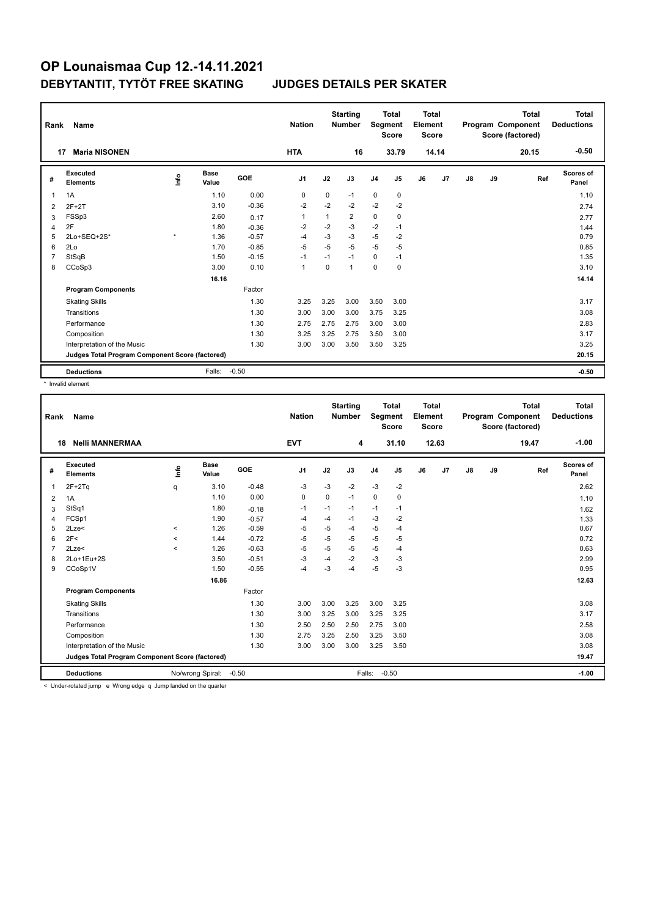| Rank           | Name                                            |         |                      |            | <b>Nation</b>  |      | <b>Starting</b><br><b>Number</b> | Segment        | <b>Total</b><br><b>Score</b> | <b>Total</b><br>Element<br><b>Score</b> |       |               |    | <b>Total</b><br>Program Component<br>Score (factored) | <b>Total</b><br><b>Deductions</b> |
|----------------|-------------------------------------------------|---------|----------------------|------------|----------------|------|----------------------------------|----------------|------------------------------|-----------------------------------------|-------|---------------|----|-------------------------------------------------------|-----------------------------------|
|                | <b>Maria NISONEN</b><br>17                      |         |                      |            | <b>HTA</b>     |      | 16                               |                | 33.79                        |                                         | 14.14 |               |    | 20.15                                                 | $-0.50$                           |
| #              | Executed<br><b>Elements</b>                     | lnfo    | <b>Base</b><br>Value | <b>GOE</b> | J <sub>1</sub> | J2   | J3                               | J <sub>4</sub> | J5                           | J6                                      | J7    | $\mathsf{J}8$ | J9 | Ref                                                   | Scores of<br>Panel                |
| 1              | 1A                                              |         | 1.10                 | 0.00       | 0              | 0    | $-1$                             | $\mathbf 0$    | 0                            |                                         |       |               |    |                                                       | 1.10                              |
| 2              | $2F+2T$                                         |         | 3.10                 | $-0.36$    | $-2$           | $-2$ | $-2$                             | $-2$           | $-2$                         |                                         |       |               |    |                                                       | 2.74                              |
| 3              | FSSp3                                           |         | 2.60                 | 0.17       | $\mathbf{1}$   | 1    | $\overline{2}$                   | $\mathbf 0$    | 0                            |                                         |       |               |    |                                                       | 2.77                              |
| 4              | 2F                                              |         | 1.80                 | $-0.36$    | $-2$           | $-2$ | $-3$                             | $-2$           | $-1$                         |                                         |       |               |    |                                                       | 1.44                              |
| 5              | 2Lo+SEQ+2S*                                     | $\star$ | 1.36                 | $-0.57$    | -4             | $-3$ | $-3$                             | $-5$           | $-2$                         |                                         |       |               |    |                                                       | 0.79                              |
| 6              | 2Lo                                             |         | 1.70                 | $-0.85$    | $-5$           | $-5$ | $-5$                             | $-5$           | $-5$                         |                                         |       |               |    |                                                       | 0.85                              |
| $\overline{7}$ | StSqB                                           |         | 1.50                 | $-0.15$    | $-1$           | $-1$ | $-1$                             | 0              | $-1$                         |                                         |       |               |    |                                                       | 1.35                              |
| 8              | CCoSp3                                          |         | 3.00                 | 0.10       | 1              | 0    | $\mathbf{1}$                     | $\mathbf 0$    | 0                            |                                         |       |               |    |                                                       | 3.10                              |
|                |                                                 |         | 16.16                |            |                |      |                                  |                |                              |                                         |       |               |    |                                                       | 14.14                             |
|                | <b>Program Components</b>                       |         |                      | Factor     |                |      |                                  |                |                              |                                         |       |               |    |                                                       |                                   |
|                | <b>Skating Skills</b>                           |         |                      | 1.30       | 3.25           | 3.25 | 3.00                             | 3.50           | 3.00                         |                                         |       |               |    |                                                       | 3.17                              |
|                | Transitions                                     |         |                      | 1.30       | 3.00           | 3.00 | 3.00                             | 3.75           | 3.25                         |                                         |       |               |    |                                                       | 3.08                              |
|                | Performance                                     |         |                      | 1.30       | 2.75           | 2.75 | 2.75                             | 3.00           | 3.00                         |                                         |       |               |    |                                                       | 2.83                              |
|                | Composition                                     |         |                      | 1.30       | 3.25           | 3.25 | 2.75                             | 3.50           | 3.00                         |                                         |       |               |    |                                                       | 3.17                              |
|                | Interpretation of the Music                     |         |                      | 1.30       | 3.00           | 3.00 | 3.50                             | 3.50           | 3.25                         |                                         |       |               |    |                                                       | 3.25                              |
|                | Judges Total Program Component Score (factored) |         |                      |            |                |      |                                  |                |                              |                                         |       |               |    |                                                       | 20.15                             |
|                | <b>Deductions</b>                               |         | Falls:               | $-0.50$    |                |      |                                  |                |                              |                                         |       |               |    |                                                       | $-0.50$                           |

\* Invalid element

| Rank | Name                                            |                     |                      |         | <b>Nation</b>  |         | <b>Starting</b><br><b>Number</b> | <b>Total</b><br>Segment<br><b>Score</b> |       | <b>Total</b><br>Element<br><b>Score</b> |       | Program Component |    | <b>Total</b><br>Score (factored) | <b>Total</b><br><b>Deductions</b> |
|------|-------------------------------------------------|---------------------|----------------------|---------|----------------|---------|----------------------------------|-----------------------------------------|-------|-----------------------------------------|-------|-------------------|----|----------------------------------|-----------------------------------|
| 18   | <b>Nelli MANNERMAA</b>                          |                     |                      |         | <b>EVT</b>     |         | 4                                |                                         | 31.10 |                                         | 12.63 |                   |    | 19.47                            | $-1.00$                           |
| #    | <b>Executed</b><br><b>Elements</b>              | lnfo                | <b>Base</b><br>Value | GOE     | J <sub>1</sub> | J2      | J3                               | J <sub>4</sub>                          | J5    | J6                                      | J7    | $\mathsf{J}8$     | J9 | Ref                              | <b>Scores of</b><br>Panel         |
| 1    | $2F+2Tq$                                        | q                   | 3.10                 | $-0.48$ | -3             | $-3$    | $-2$                             | $-3$                                    | $-2$  |                                         |       |                   |    |                                  | 2.62                              |
| 2    | 1A                                              |                     | 1.10                 | 0.00    | 0              | 0       | $-1$                             | 0                                       | 0     |                                         |       |                   |    |                                  | 1.10                              |
| 3    | StSq1                                           |                     | 1.80                 | $-0.18$ | $-1$           | $-1$    | $-1$                             | $-1$                                    | $-1$  |                                         |       |                   |    |                                  | 1.62                              |
| 4    | FCSp1                                           |                     | 1.90                 | $-0.57$ | $-4$           | $-4$    | $-1$                             | $-3$                                    | $-2$  |                                         |       |                   |    |                                  | 1.33                              |
| 5    | 2Lze<                                           | $\hat{}$            | 1.26                 | $-0.59$ | -5             | $-5$    | -4                               | -5                                      | $-4$  |                                         |       |                   |    |                                  | 0.67                              |
| 6    | 2F<                                             | $\hat{\phantom{a}}$ | 1.44                 | $-0.72$ | $-5$           | $-5$    | $-5$                             | $-5$                                    | $-5$  |                                         |       |                   |    |                                  | 0.72                              |
|      | 2Lze<                                           | $\prec$             | 1.26                 | $-0.63$ | $-5$           | -5      | $-5$                             | $-5$                                    | -4    |                                         |       |                   |    |                                  | 0.63                              |
| 8    | 2Lo+1Eu+2S                                      |                     | 3.50                 | $-0.51$ | $-3$           | $-4$    | $-2$                             | $-3$                                    | $-3$  |                                         |       |                   |    |                                  | 2.99                              |
| 9    | CCoSp1V                                         |                     | 1.50                 | $-0.55$ | $-4$           | $-3$    | $-4$                             | $-5$                                    | $-3$  |                                         |       |                   |    |                                  | 0.95                              |
|      |                                                 |                     | 16.86                |         |                |         |                                  |                                         |       |                                         |       |                   |    |                                  | 12.63                             |
|      | <b>Program Components</b>                       |                     |                      | Factor  |                |         |                                  |                                         |       |                                         |       |                   |    |                                  |                                   |
|      | <b>Skating Skills</b>                           |                     |                      | 1.30    | 3.00           | 3.00    | 3.25                             | 3.00                                    | 3.25  |                                         |       |                   |    |                                  | 3.08                              |
|      | Transitions                                     |                     |                      | 1.30    | 3.00           | 3.25    | 3.00                             | 3.25                                    | 3.25  |                                         |       |                   |    |                                  | 3.17                              |
|      | Performance                                     |                     |                      | 1.30    | 2.50           | 2.50    | 2.50                             | 2.75                                    | 3.00  |                                         |       |                   |    |                                  | 2.58                              |
|      | Composition                                     |                     |                      | 1.30    | 2.75           | 3.25    | 2.50                             | 3.25                                    | 3.50  |                                         |       |                   |    |                                  | 3.08                              |
|      | Interpretation of the Music                     |                     |                      | 1.30    | 3.00           | 3.00    | 3.00                             | 3.25                                    | 3.50  |                                         |       |                   |    |                                  | 3.08                              |
|      | Judges Total Program Component Score (factored) |                     |                      |         |                |         |                                  |                                         |       |                                         |       | 19.47             |    |                                  |                                   |
|      | <b>Deductions</b>                               |                     |                      |         | Falls:         | $-0.50$ |                                  |                                         |       |                                         |       | $-1.00$           |    |                                  |                                   |

< Under-rotated jump e Wrong edge q Jump landed on the quarter